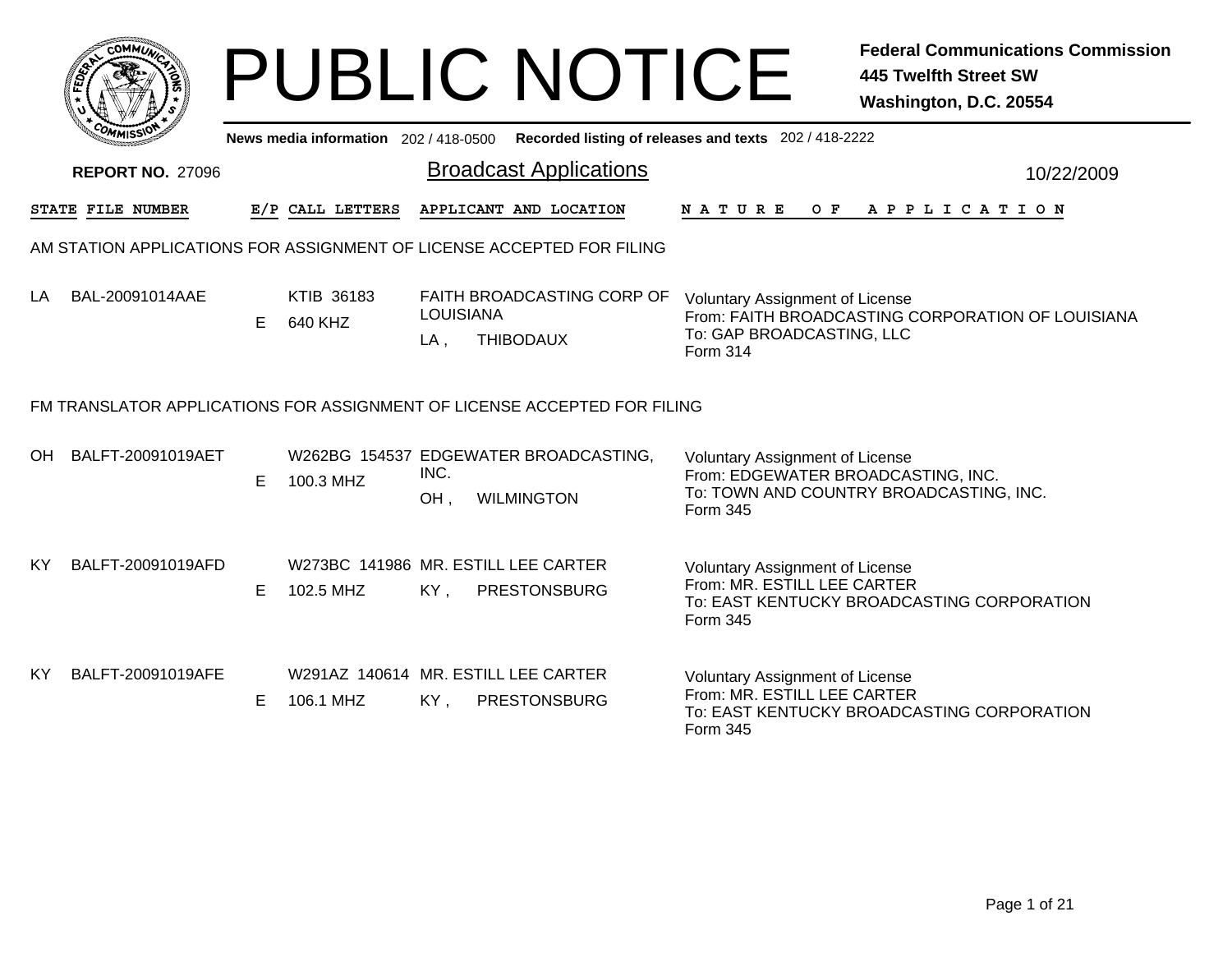|     |                         |    |                                     |                         | <b>PUBLIC NOTICE</b>                                                     |                                                                                          | <b>Federal Communications Commission</b><br>445 Twelfth Street SW<br>Washington, D.C. 20554 |
|-----|-------------------------|----|-------------------------------------|-------------------------|--------------------------------------------------------------------------|------------------------------------------------------------------------------------------|---------------------------------------------------------------------------------------------|
|     |                         |    | News media information 202/418-0500 |                         |                                                                          | Recorded listing of releases and texts 202 / 418-2222                                    |                                                                                             |
|     | <b>REPORT NO. 27096</b> |    |                                     |                         | <b>Broadcast Applications</b>                                            |                                                                                          | 10/22/2009                                                                                  |
|     | STATE FILE NUMBER       |    | E/P CALL LETTERS                    |                         | APPLICANT AND LOCATION                                                   | N A T U R E<br>O F                                                                       | A P P L I C A T I O N                                                                       |
|     |                         |    |                                     |                         | AM STATION APPLICATIONS FOR ASSIGNMENT OF LICENSE ACCEPTED FOR FILING    |                                                                                          |                                                                                             |
| LA  | BAL-20091014AAE         | E. | KTIB 36183<br>640 KHZ               | <b>LOUISIANA</b><br>LA, | FAITH BROADCASTING CORP OF<br><b>THIBODAUX</b>                           | <b>Voluntary Assignment of License</b><br>To: GAP BROADCASTING, LLC<br>Form 314          | From: FAITH BROADCASTING CORPORATION OF LOUISIANA                                           |
|     |                         |    |                                     |                         | FM TRANSLATOR APPLICATIONS FOR ASSIGNMENT OF LICENSE ACCEPTED FOR FILING |                                                                                          |                                                                                             |
| OH  | BALFT-20091019AET       | E. | 100.3 MHZ                           | INC.<br>OH.             | W262BG 154537 EDGEWATER BROADCASTING,<br><b>WILMINGTON</b>               | <b>Voluntary Assignment of License</b><br>From: EDGEWATER BROADCASTING, INC.<br>Form 345 | To: TOWN AND COUNTRY BROADCASTING, INC.                                                     |
| KY. | BALFT-20091019AFD       | E. | 102.5 MHZ                           |                         | W273BC 141986 MR. ESTILL LEE CARTER<br>KY, PRESTONSBURG                  | <b>Voluntary Assignment of License</b><br>From: MR. ESTILL LEE CARTER<br>Form 345        | To: EAST KENTUCKY BROADCASTING CORPORATION                                                  |
| KY. | BALFT-20091019AFE       | E. | 106.1 MHZ                           | KY,                     | W291AZ 140614 MR, ESTILL LEE CARTER<br><b>PRESTONSBURG</b>               | <b>Voluntary Assignment of License</b><br>From: MR. ESTILL LEE CARTER<br>Form 345        | To: EAST KENTUCKY BROADCASTING CORPORATION                                                  |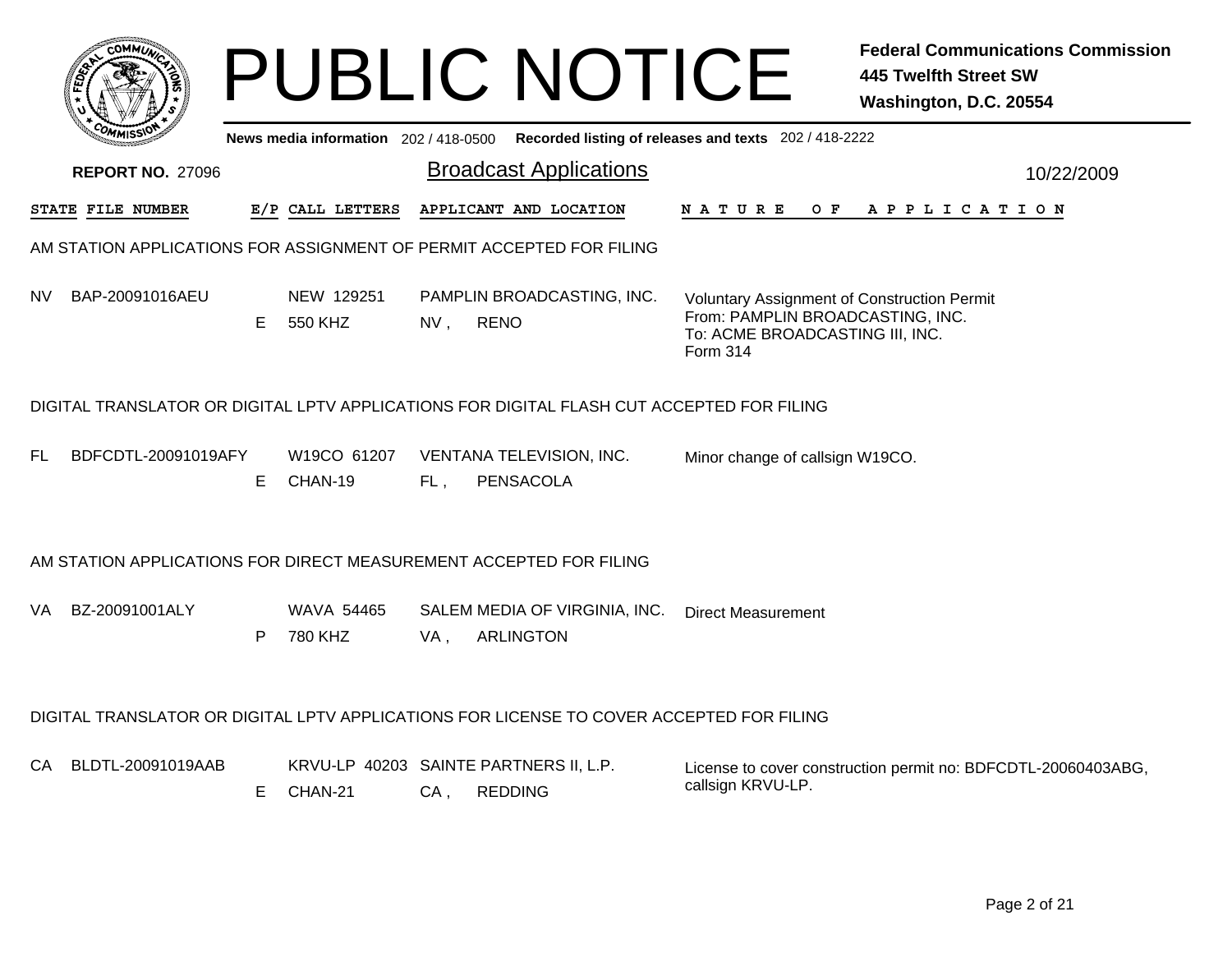|                                                                                           |    |                                       |     | <b>PUBLIC NOTICE</b>                                     |                                                                                                                                       | <b>Federal Communications Commission</b><br>445 Twelfth Street SW<br>Washington, D.C. 20554 |
|-------------------------------------------------------------------------------------------|----|---------------------------------------|-----|----------------------------------------------------------|---------------------------------------------------------------------------------------------------------------------------------------|---------------------------------------------------------------------------------------------|
|                                                                                           |    | News media information $202/418-0500$ |     |                                                          | Recorded listing of releases and texts 202/418-2222                                                                                   |                                                                                             |
| <b>REPORT NO. 27096</b>                                                                   |    |                                       |     | <b>Broadcast Applications</b>                            |                                                                                                                                       | 10/22/2009                                                                                  |
| <b>STATE FILE NUMBER</b>                                                                  |    | E/P CALL LETTERS                      |     | APPLICANT AND LOCATION                                   | N A T U R E<br>O F                                                                                                                    | A P P L I C A T I O N                                                                       |
| AM STATION APPLICATIONS FOR ASSIGNMENT OF PERMIT ACCEPTED FOR FILING                      |    |                                       |     |                                                          |                                                                                                                                       |                                                                                             |
| BAP-20091016AEU<br>NV.                                                                    | E. | NEW 129251<br>550 KHZ                 | NV, | PAMPLIN BROADCASTING, INC.<br><b>RENO</b>                | <b>Voluntary Assignment of Construction Permit</b><br>From: PAMPLIN BROADCASTING, INC.<br>To: ACME BROADCASTING III, INC.<br>Form 314 |                                                                                             |
| DIGITAL TRANSLATOR OR DIGITAL LPTV APPLICATIONS FOR DIGITAL FLASH CUT ACCEPTED FOR FILING |    |                                       |     |                                                          |                                                                                                                                       |                                                                                             |
| BDFCDTL-20091019AFY<br>EL.                                                                | E  | W19CO 61207<br>CHAN-19                | FL. | VENTANA TELEVISION, INC.<br><b>PENSACOLA</b>             | Minor change of callsign W19CO.                                                                                                       |                                                                                             |
| AM STATION APPLICATIONS FOR DIRECT MEASUREMENT ACCEPTED FOR FILING                        |    |                                       |     |                                                          |                                                                                                                                       |                                                                                             |
| BZ-20091001ALY<br>VA.                                                                     | P  | WAVA 54465<br>780 KHZ                 | VA, | SALEM MEDIA OF VIRGINIA, INC.<br><b>ARLINGTON</b>        | <b>Direct Measurement</b>                                                                                                             |                                                                                             |
| DIGITAL TRANSLATOR OR DIGITAL LPTV APPLICATIONS FOR LICENSE TO COVER ACCEPTED FOR FILING  |    |                                       |     |                                                          |                                                                                                                                       |                                                                                             |
| BLDTL-20091019AAB<br>CA.                                                                  | E. | CHAN-21                               | CA, | KRVU-LP 40203 SAINTE PARTNERS II, L.P.<br><b>REDDING</b> | callsign KRVU-LP.                                                                                                                     | License to cover construction permit no: BDFCDTL-20060403ABG,                               |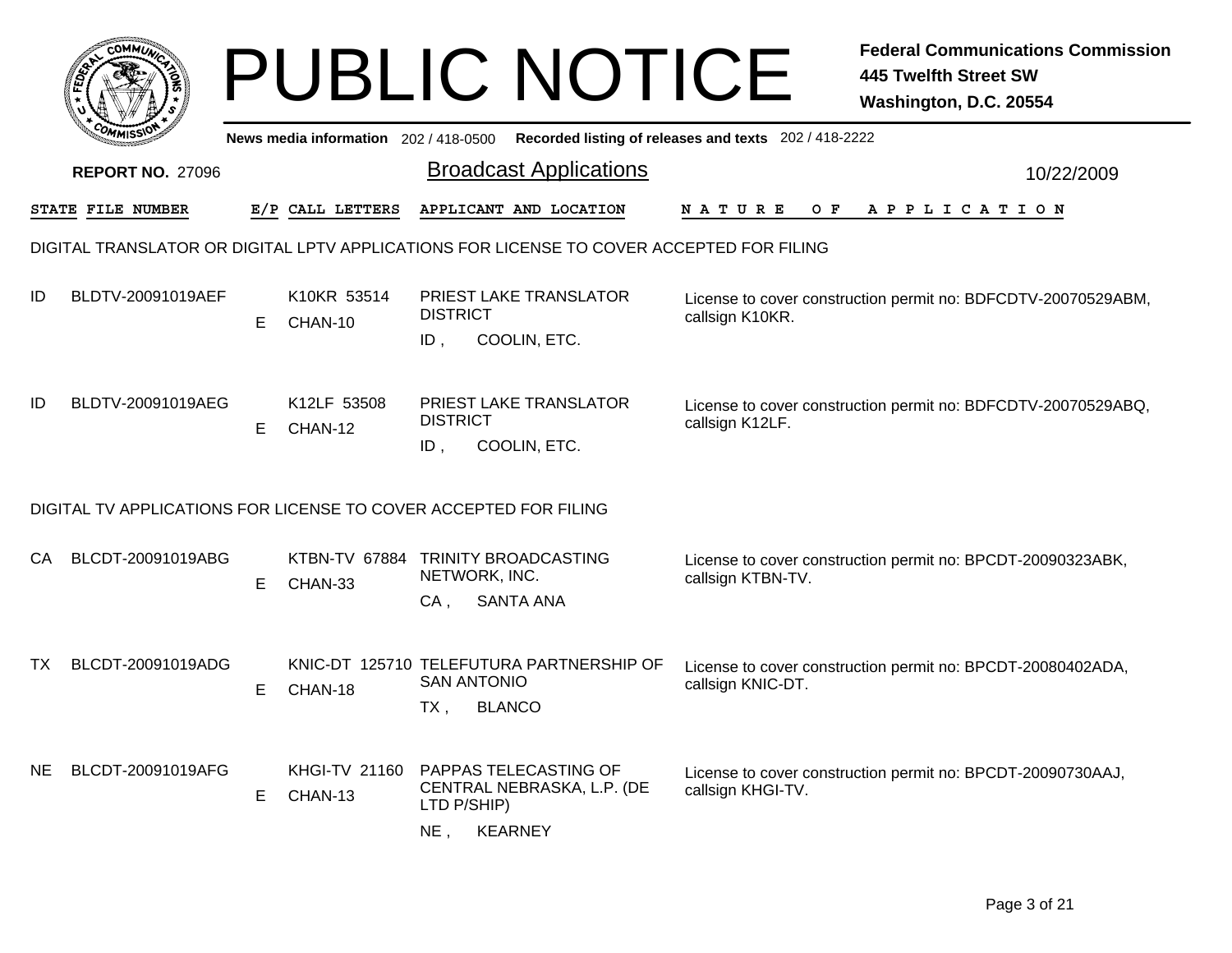|     |                                                                                          |    |                                                |                           | <b>PUBLIC NOTICE</b>                                      |                                                       | <b>Federal Communications Commission</b><br><b>445 Twelfth Street SW</b><br>Washington, D.C. 20554 |
|-----|------------------------------------------------------------------------------------------|----|------------------------------------------------|---------------------------|-----------------------------------------------------------|-------------------------------------------------------|----------------------------------------------------------------------------------------------------|
|     |                                                                                          |    | News media information 202/418-0500            |                           |                                                           | Recorded listing of releases and texts 202 / 418-2222 |                                                                                                    |
|     | <b>REPORT NO. 27096</b>                                                                  |    |                                                |                           | <b>Broadcast Applications</b>                             |                                                       | 10/22/2009                                                                                         |
|     | <b>STATE FILE NUMBER</b>                                                                 |    | E/P CALL LETTERS                               |                           | APPLICANT AND LOCATION                                    | O F<br>N A T U R E                                    | APPLICATION                                                                                        |
|     | DIGITAL TRANSLATOR OR DIGITAL LPTV APPLICATIONS FOR LICENSE TO COVER ACCEPTED FOR FILING |    |                                                |                           |                                                           |                                                       |                                                                                                    |
| ID  | BLDTV-20091019AEF                                                                        | E. | K10KR 53514<br>CHAN-10                         | <b>DISTRICT</b><br>ID,    | <b>PRIEST LAKE TRANSLATOR</b><br>COOLIN, ETC.             | callsign K10KR.                                       | License to cover construction permit no: BDFCDTV-20070529ABM,                                      |
| ID  | BLDTV-20091019AEG                                                                        | E. | K12LF 53508<br>CHAN-12                         | <b>DISTRICT</b><br>$ID$ , | PRIEST LAKE TRANSLATOR<br>COOLIN, ETC.                    | callsign K12LF.                                       | License to cover construction permit no: BDFCDTV-20070529ABQ,                                      |
|     | DIGITAL TV APPLICATIONS FOR LICENSE TO COVER ACCEPTED FOR FILING                         |    |                                                |                           |                                                           |                                                       |                                                                                                    |
| СA  | BLCDT-20091019ABG                                                                        | Е  | KTBN-TV 67884 TRINITY BROADCASTING<br>CHAN-33  | NETWORK, INC.<br>$CA$ ,   | <b>SANTA ANA</b>                                          | callsign KTBN-TV.                                     | License to cover construction permit no: BPCDT-20090323ABK,                                        |
| TX. | BLCDT-20091019ADG                                                                        | E  | CHAN-18                                        | <b>SAN ANTONIO</b><br>TX, | KNIC-DT 125710 TELEFUTURA PARTNERSHIP OF<br><b>BLANCO</b> | callsign KNIC-DT.                                     | License to cover construction permit no: BPCDT-20080402ADA,                                        |
| NE. | BLCDT-20091019AFG                                                                        | E. | KHGI-TV 21160 PAPPAS TELECASTING OF<br>CHAN-13 | LTD P/SHIP)<br>$NE$ ,     | CENTRAL NEBRASKA, L.P. (DE<br><b>KEARNEY</b>              | callsign KHGI-TV.                                     | License to cover construction permit no: BPCDT-20090730AAJ,                                        |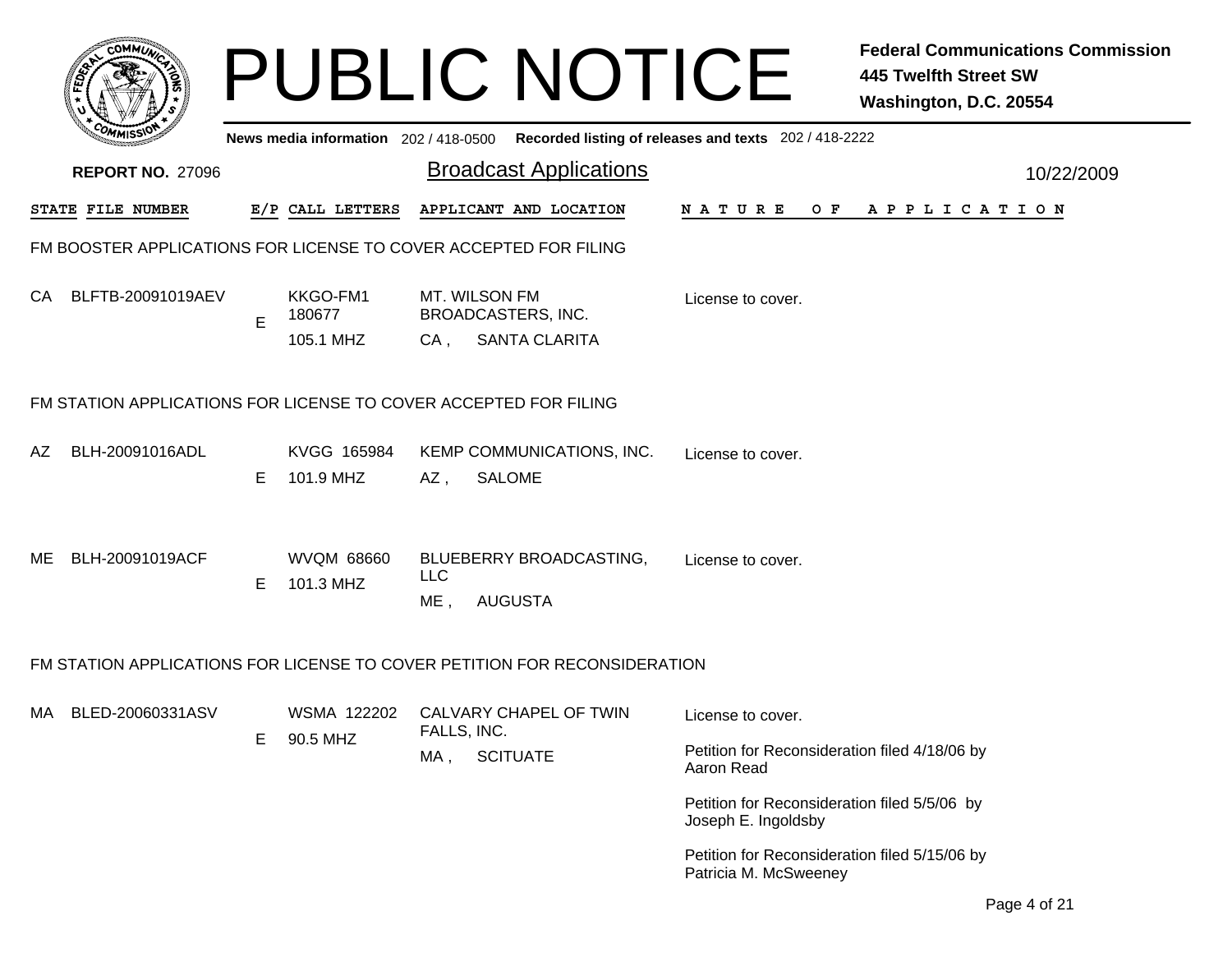|                         |    |                                 | <b>PUBLIC NOTICE</b>                                                                    |                                                                        | <b>Federal Communications Commission</b><br><b>445 Twelfth Street SW</b><br>Washington, D.C. 20554 |
|-------------------------|----|---------------------------------|-----------------------------------------------------------------------------------------|------------------------------------------------------------------------|----------------------------------------------------------------------------------------------------|
|                         |    |                                 | News media information 202/418-0500 Recorded listing of releases and texts 202/418-2222 |                                                                        |                                                                                                    |
| <b>REPORT NO. 27096</b> |    |                                 | <b>Broadcast Applications</b>                                                           |                                                                        | 10/22/2009                                                                                         |
| STATE FILE NUMBER       |    | E/P CALL LETTERS                | APPLICANT AND LOCATION                                                                  |                                                                        | NATURE OF APPLICATION                                                                              |
|                         |    |                                 | FM BOOSTER APPLICATIONS FOR LICENSE TO COVER ACCEPTED FOR FILING                        |                                                                        |                                                                                                    |
| CA<br>BLFTB-20091019AEV | E  | KKGO-FM1<br>180677<br>105.1 MHZ | MT. WILSON FM<br><b>BROADCASTERS, INC.</b><br><b>SANTA CLARITA</b><br>CA,               | License to cover.                                                      |                                                                                                    |
|                         |    |                                 | FM STATION APPLICATIONS FOR LICENSE TO COVER ACCEPTED FOR FILING                        |                                                                        |                                                                                                    |
| BLH-20091016ADL<br>AZ   | E. | KVGG 165984<br>101.9 MHZ        | KEMP COMMUNICATIONS, INC.<br><b>SALOME</b><br>AZ,                                       | License to cover.                                                      |                                                                                                    |
| ME BLH-20091019ACF      | E. | <b>WVQM 68660</b><br>101.3 MHZ  | BLUEBERRY BROADCASTING,<br><b>LLC</b><br><b>AUGUSTA</b><br>ME,                          | License to cover.                                                      |                                                                                                    |
|                         |    |                                 | FM STATION APPLICATIONS FOR LICENSE TO COVER PETITION FOR RECONSIDERATION               |                                                                        |                                                                                                    |
| MA BLED-20060331ASV     |    |                                 | WSMA 122202 CALVARY CHAPEL OF TWIN                                                      | License to cover.                                                      |                                                                                                    |
|                         | E  | 90.5 MHZ                        | FALLS, INC.<br><b>SCITUATE</b><br>MA,                                                   | Petition for Reconsideration filed 4/18/06 by<br>Aaron Read            |                                                                                                    |
|                         |    |                                 |                                                                                         | Petition for Reconsideration filed 5/5/06 by<br>Joseph E. Ingoldsby    |                                                                                                    |
|                         |    |                                 |                                                                                         | Petition for Reconsideration filed 5/15/06 by<br>Patricia M. McSweeney |                                                                                                    |
|                         |    |                                 |                                                                                         |                                                                        | $\Lambda$ $\Lambda$ $\Lambda$                                                                      |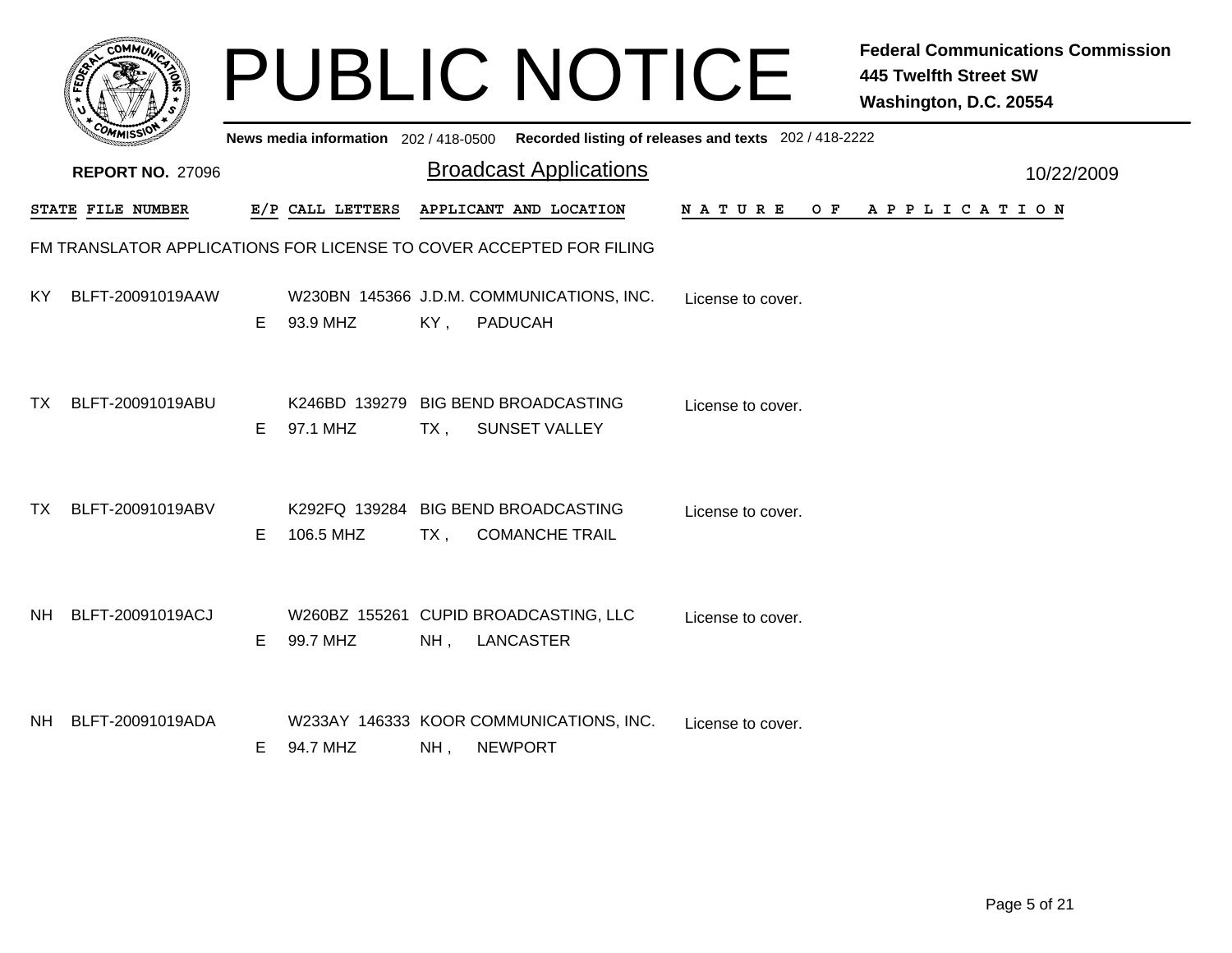|           |                         |    |                  |        | <b>PUBLIC NOTICE</b>                                                                    |                   | <b>Federal Communications Commission</b><br><b>445 Twelfth Street SW</b><br>Washington, D.C. 20554 |            |
|-----------|-------------------------|----|------------------|--------|-----------------------------------------------------------------------------------------|-------------------|----------------------------------------------------------------------------------------------------|------------|
|           |                         |    |                  |        | News media information 202/418-0500 Recorded listing of releases and texts 202/418-2222 |                   |                                                                                                    |            |
|           | <b>REPORT NO. 27096</b> |    |                  |        | <b>Broadcast Applications</b>                                                           |                   |                                                                                                    | 10/22/2009 |
|           | STATE FILE NUMBER       |    | E/P CALL LETTERS |        | APPLICANT AND LOCATION                                                                  | N A T U R E       | OF APPLICATION                                                                                     |            |
|           |                         |    |                  |        | FM TRANSLATOR APPLICATIONS FOR LICENSE TO COVER ACCEPTED FOR FILING                     |                   |                                                                                                    |            |
| KY.       | BLFT-20091019AAW        | E. | 93.9 MHZ         | KY,    | W230BN 145366 J.D.M. COMMUNICATIONS, INC.<br><b>PADUCAH</b>                             | License to cover. |                                                                                                    |            |
| TX .      | BLFT-20091019ABU        | E. | 97.1 MHZ         | $TX$ , | K246BD 139279 BIG BEND BROADCASTING<br><b>SUNSET VALLEY</b>                             | License to cover. |                                                                                                    |            |
| TX I      | BLFT-20091019ABV        | E. | 106.5 MHZ        | $TX$ , | K292FQ 139284 BIG BEND BROADCASTING<br><b>COMANCHE TRAIL</b>                            | License to cover. |                                                                                                    |            |
| <b>NH</b> | BLFT-20091019ACJ        | E. | 99.7 MHZ         | NH,    | W260BZ 155261 CUPID BROADCASTING, LLC<br>LANCASTER                                      | License to cover. |                                                                                                    |            |
| NH .      | BLFT-20091019ADA        | E. | 94.7 MHZ         | NH,    | W233AY 146333 KOOR COMMUNICATIONS, INC.<br><b>NEWPORT</b>                               | License to cover. |                                                                                                    |            |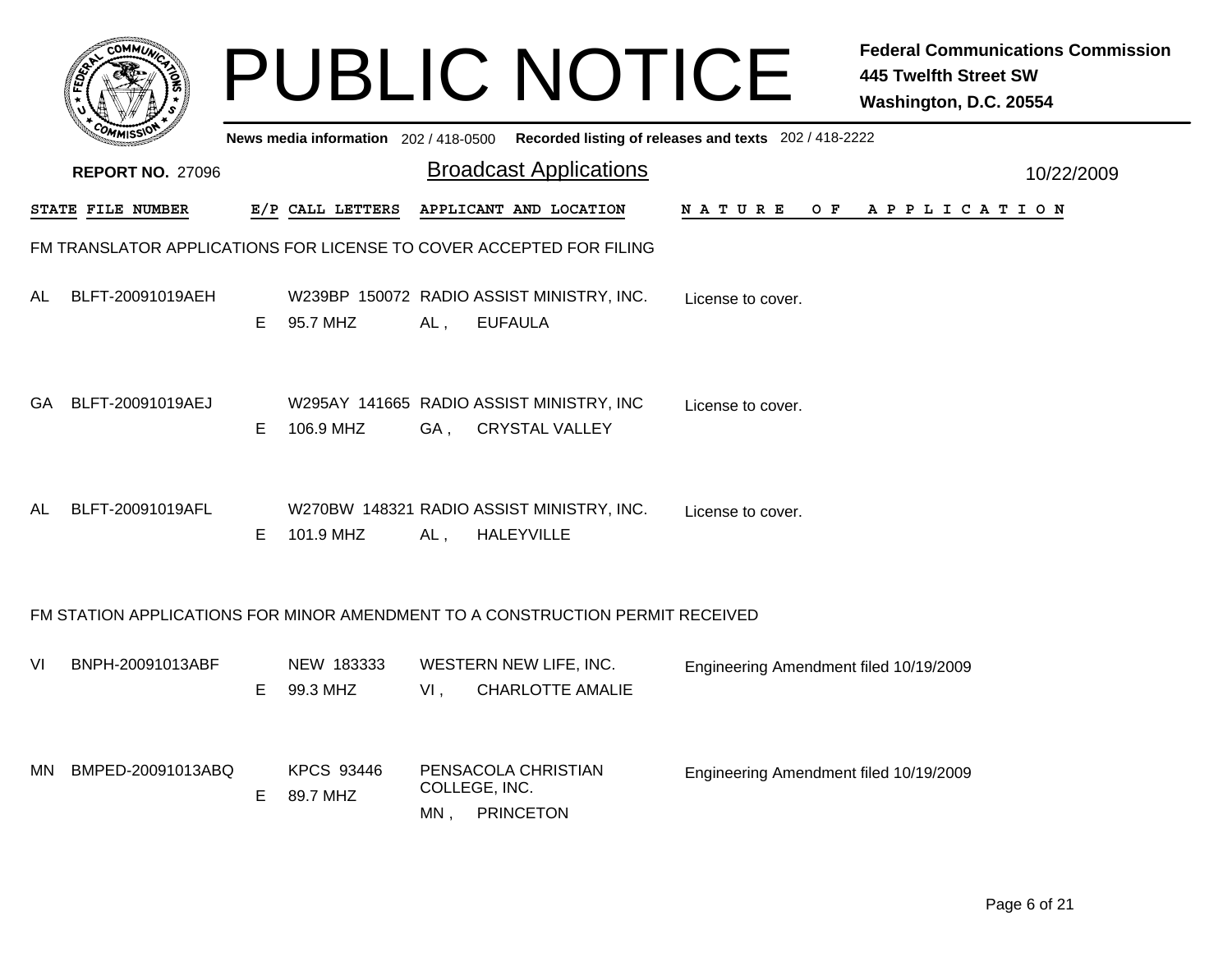|     |                                                                     |    |                               |                      | <b>PUBLIC NOTICE</b>                                                                        |                                        | <b>Federal Communications Commission</b><br><b>445 Twelfth Street SW</b><br>Washington, D.C. 20554 |
|-----|---------------------------------------------------------------------|----|-------------------------------|----------------------|---------------------------------------------------------------------------------------------|----------------------------------------|----------------------------------------------------------------------------------------------------|
|     |                                                                     |    |                               |                      | News media information 202 / 418-0500 Recorded listing of releases and texts 202 / 418-2222 |                                        |                                                                                                    |
|     | <b>REPORT NO. 27096</b>                                             |    |                               |                      | <b>Broadcast Applications</b>                                                               |                                        | 10/22/2009                                                                                         |
|     | STATE FILE NUMBER                                                   |    | E/P CALL LETTERS              |                      | APPLICANT AND LOCATION                                                                      | N A T U R E<br>O F                     | A P P L I C A T I O N                                                                              |
|     | FM TRANSLATOR APPLICATIONS FOR LICENSE TO COVER ACCEPTED FOR FILING |    |                               |                      |                                                                                             |                                        |                                                                                                    |
| AL  | BLFT-20091019AEH                                                    | E. | 95.7 MHZ                      | AL,                  | W239BP 150072 RADIO ASSIST MINISTRY, INC.<br><b>EUFAULA</b>                                 | License to cover.                      |                                                                                                    |
|     | GA BLFT-20091019AEJ                                                 | E. | 106.9 MHZ                     |                      | W295AY 141665 RADIO ASSIST MINISTRY, INC<br>GA, CRYSTAL VALLEY                              | License to cover.                      |                                                                                                    |
| AL  | BLFT-20091019AFL                                                    | Е  | 101.9 MHZ                     | AL,                  | W270BW 148321 RADIO ASSIST MINISTRY, INC.<br><b>HALEYVILLE</b>                              | License to cover.                      |                                                                                                    |
|     |                                                                     |    |                               |                      | FM STATION APPLICATIONS FOR MINOR AMENDMENT TO A CONSTRUCTION PERMIT RECEIVED               |                                        |                                                                                                    |
| VI  | BNPH-20091013ABF                                                    | E  | NEW 183333<br>99.3 MHZ        | $VI$ ,               | WESTERN NEW LIFE, INC.<br><b>CHARLOTTE AMALIE</b>                                           | Engineering Amendment filed 10/19/2009 |                                                                                                    |
| MN. | BMPED-20091013ABQ                                                   | E  | <b>KPCS 93446</b><br>89.7 MHZ | COLLEGE, INC.<br>MN, | PENSACOLA CHRISTIAN<br><b>PRINCETON</b>                                                     | Engineering Amendment filed 10/19/2009 |                                                                                                    |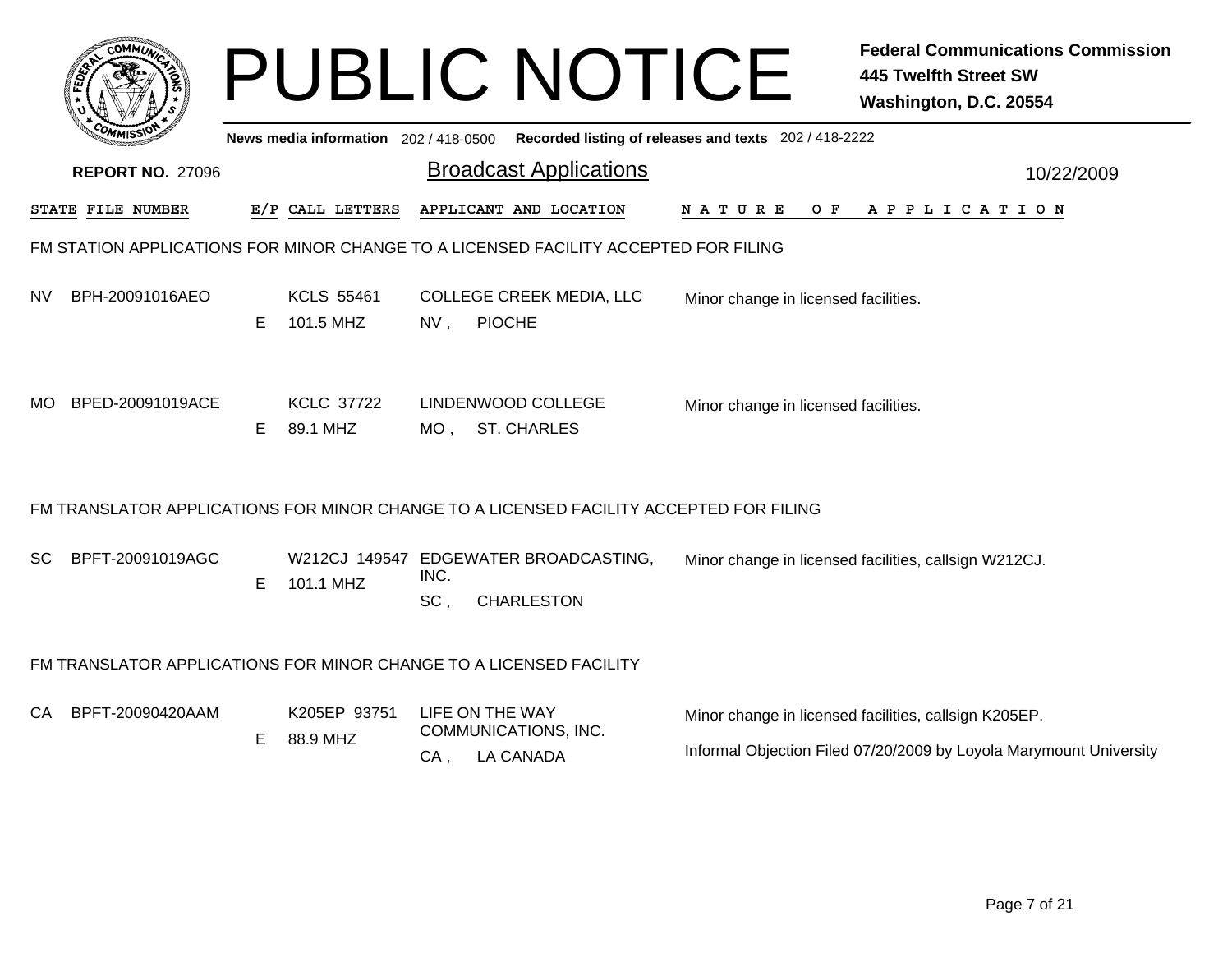|           |                         |    |                                       |             | <b>PUBLIC NOTICE</b>                                                                   |                                                       | <b>Federal Communications Commission</b><br><b>445 Twelfth Street SW</b><br>Washington, D.C. 20554                          |
|-----------|-------------------------|----|---------------------------------------|-------------|----------------------------------------------------------------------------------------|-------------------------------------------------------|-----------------------------------------------------------------------------------------------------------------------------|
|           |                         |    | News media information 202 / 418-0500 |             |                                                                                        | Recorded listing of releases and texts 202 / 418-2222 |                                                                                                                             |
|           | <b>REPORT NO. 27096</b> |    |                                       |             | <b>Broadcast Applications</b>                                                          |                                                       | 10/22/2009                                                                                                                  |
|           | STATE FILE NUMBER       |    | E/P CALL LETTERS                      |             | APPLICANT AND LOCATION                                                                 | N A T U R E<br>O F                                    | A P P L I C A T I O N                                                                                                       |
|           |                         |    |                                       |             | FM STATION APPLICATIONS FOR MINOR CHANGE TO A LICENSED FACILITY ACCEPTED FOR FILING    |                                                       |                                                                                                                             |
| <b>NV</b> | BPH-20091016AEO         | E. | <b>KCLS 55461</b><br>101.5 MHZ        | $NV$ ,      | COLLEGE CREEK MEDIA, LLC<br><b>PIOCHE</b>                                              | Minor change in licensed facilities.                  |                                                                                                                             |
| MO.       | BPED-20091019ACE        | Е  | <b>KCLC 37722</b><br>89.1 MHZ         |             | LINDENWOOD COLLEGE<br>MO, ST. CHARLES                                                  | Minor change in licensed facilities.                  |                                                                                                                             |
|           |                         |    |                                       |             | FM TRANSLATOR APPLICATIONS FOR MINOR CHANGE TO A LICENSED FACILITY ACCEPTED FOR FILING |                                                       |                                                                                                                             |
| SC.       | BPFT-20091019AGC        | E  | 101.1 MHZ                             | INC.<br>SC, | W212CJ 149547 EDGEWATER BROADCASTING,<br><b>CHARLESTON</b>                             |                                                       | Minor change in licensed facilities, callsign W212CJ.                                                                       |
|           |                         |    |                                       |             | FM TRANSLATOR APPLICATIONS FOR MINOR CHANGE TO A LICENSED FACILITY                     |                                                       |                                                                                                                             |
| CA.       | BPFT-20090420AAM        | Е  | K205EP 93751<br>88.9 MHZ              | CA,         | LIFE ON THE WAY<br>COMMUNICATIONS, INC.<br><b>LA CANADA</b>                            |                                                       | Minor change in licensed facilities, callsign K205EP.<br>Informal Objection Filed 07/20/2009 by Loyola Marymount University |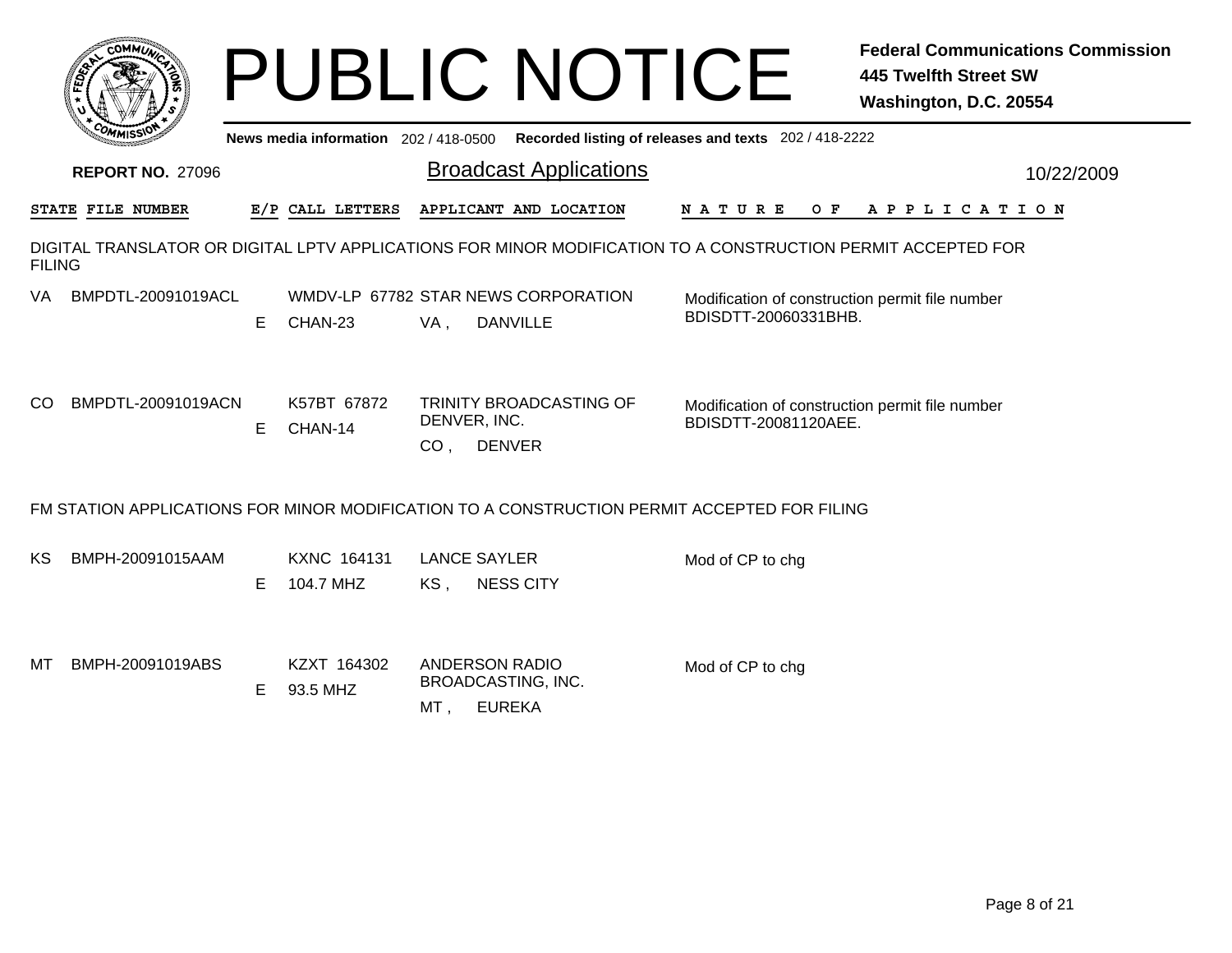|               |                         |   |                                 | <b>PUBLIC NOTICE</b><br><b>445 Twelfth Street SW</b><br>Washington, D.C. 20554                                                                         | <b>Federal Communications Commission</b> |
|---------------|-------------------------|---|---------------------------------|--------------------------------------------------------------------------------------------------------------------------------------------------------|------------------------------------------|
|               |                         |   |                                 | News media information 202 / 418-0500 Recorded listing of releases and texts 202 / 418-2222                                                            |                                          |
|               | <b>REPORT NO. 27096</b> |   |                                 | <b>Broadcast Applications</b>                                                                                                                          | 10/22/2009                               |
|               | STATE FILE NUMBER       |   | E/P CALL LETTERS                | APPLICANT AND LOCATION<br><b>NATURE</b><br>O F<br>A P P L I C A T I O N                                                                                |                                          |
| <b>FILING</b> |                         |   |                                 | DIGITAL TRANSLATOR OR DIGITAL LPTV APPLICATIONS FOR MINOR MODIFICATION TO A CONSTRUCTION PERMIT ACCEPTED FOR                                           |                                          |
| VA.           | BMPDTL-20091019ACL      | E | CHAN-23                         | WMDV-LP 67782 STAR NEWS CORPORATION<br>Modification of construction permit file number<br>BDISDTT-20060331BHB.<br>VA,<br><b>DANVILLE</b>               |                                          |
| CO            | BMPDTL-20091019ACN      | E | K57BT 67872<br>CHAN-14          | TRINITY BROADCASTING OF<br>Modification of construction permit file number<br>DENVER, INC.<br>BDISDTT-20081120AEE.<br>CO <sub>1</sub><br><b>DENVER</b> |                                          |
|               |                         |   |                                 | FM STATION APPLICATIONS FOR MINOR MODIFICATION TO A CONSTRUCTION PERMIT ACCEPTED FOR FILING                                                            |                                          |
| KS            | BMPH-20091015AAM        | E | <b>KXNC 164131</b><br>104.7 MHZ | <b>LANCE SAYLER</b><br>Mod of CP to chg<br><b>NESS CITY</b><br>KS,                                                                                     |                                          |
| MТ            | BMPH-20091019ABS        | Е | KZXT 164302<br>93.5 MHZ         | ANDERSON RADIO<br>Mod of CP to chg<br>BROADCASTING, INC.<br><b>EUREKA</b><br>MT ,                                                                      |                                          |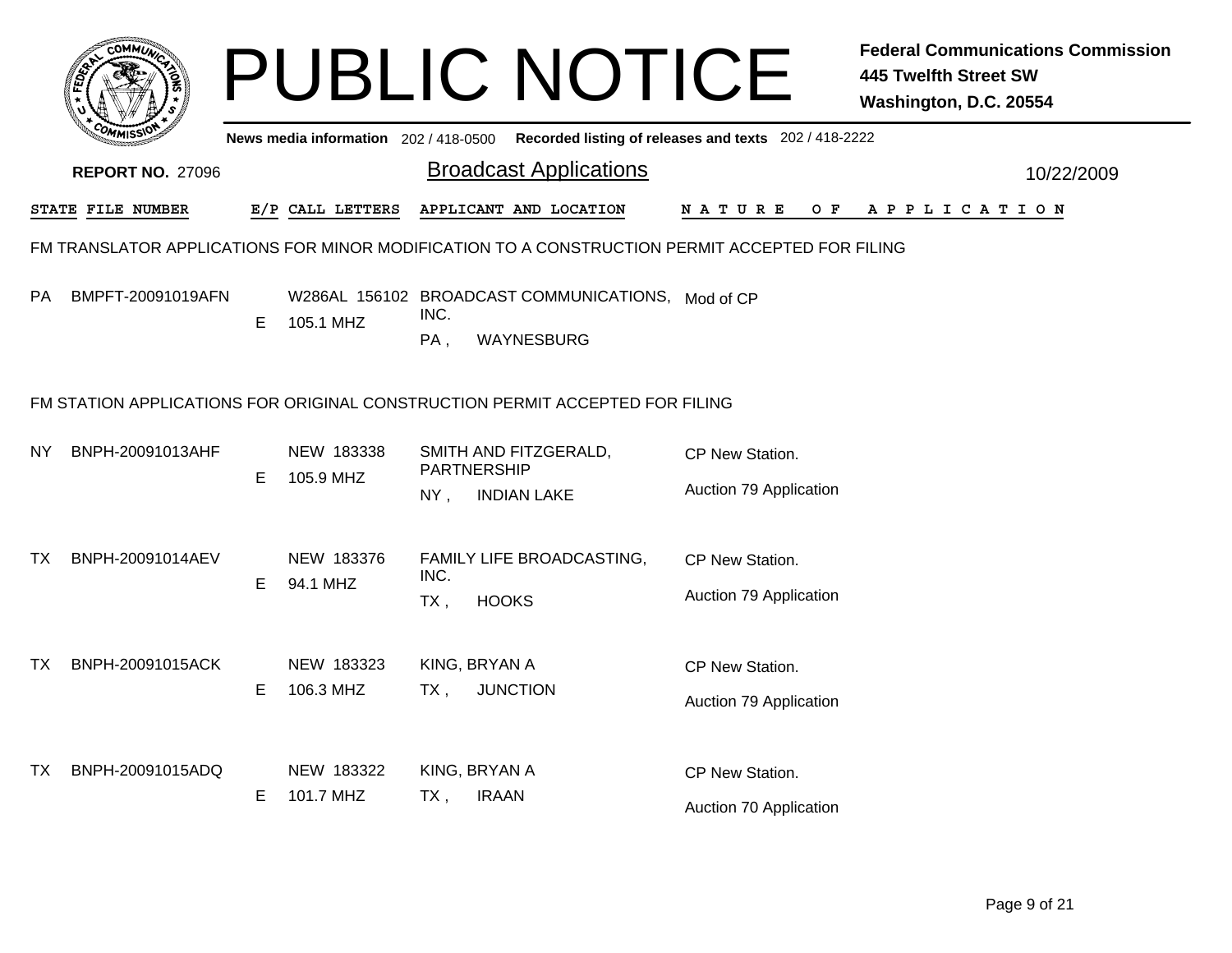|           |                                                                                                |    |                                     |                                   | <b>PUBLIC NOTICE</b>                                            |                                                       | <b>Federal Communications Commission</b><br><b>445 Twelfth Street SW</b><br>Washington, D.C. 20554 |
|-----------|------------------------------------------------------------------------------------------------|----|-------------------------------------|-----------------------------------|-----------------------------------------------------------------|-------------------------------------------------------|----------------------------------------------------------------------------------------------------|
|           |                                                                                                |    | News media information 202/418-0500 |                                   |                                                                 | Recorded listing of releases and texts 202 / 418-2222 |                                                                                                    |
|           | <b>REPORT NO. 27096</b>                                                                        |    |                                     |                                   | <b>Broadcast Applications</b>                                   |                                                       | 10/22/2009                                                                                         |
|           | STATE FILE NUMBER                                                                              |    | E/P CALL LETTERS                    |                                   | APPLICANT AND LOCATION                                          | N A T U R E<br>O F                                    | A P P L I C A T I O N                                                                              |
|           | FM TRANSLATOR APPLICATIONS FOR MINOR MODIFICATION TO A CONSTRUCTION PERMIT ACCEPTED FOR FILING |    |                                     |                                   |                                                                 |                                                       |                                                                                                    |
| <b>PA</b> | BMPFT-20091019AFN                                                                              | E  | 105.1 MHZ                           | INC.<br>PA,                       | W286AL 156102 BROADCAST COMMUNICATIONS, Mod of CP<br>WAYNESBURG |                                                       |                                                                                                    |
|           | FM STATION APPLICATIONS FOR ORIGINAL CONSTRUCTION PERMIT ACCEPTED FOR FILING                   |    |                                     |                                   |                                                                 |                                                       |                                                                                                    |
| NY.       | BNPH-20091013AHF                                                                               | E. | NEW 183338<br>105.9 MHZ             | PARTNERSHIP                       | SMITH AND FITZGERALD,                                           | CP New Station.                                       |                                                                                                    |
|           |                                                                                                |    |                                     | $NY$ ,                            | <b>INDIAN LAKE</b>                                              | Auction 79 Application                                |                                                                                                    |
| TX.       | BNPH-20091014AEV                                                                               |    | NEW 183376                          | FAMILY LIFE BROADCASTING,<br>INC. |                                                                 | CP New Station.                                       |                                                                                                    |
|           |                                                                                                | E  | 94.1 MHZ                            | $TX$ ,                            | <b>HOOKS</b>                                                    | Auction 79 Application                                |                                                                                                    |
| TX.       | BNPH-20091015ACK                                                                               |    | NEW 183323                          | KING, BRYAN A                     |                                                                 | CP New Station.                                       |                                                                                                    |
|           |                                                                                                | E  | 106.3 MHZ                           | TX.                               | <b>JUNCTION</b>                                                 | Auction 79 Application                                |                                                                                                    |
| TX.       | BNPH-20091015ADQ                                                                               |    | NEW 183322                          | KING, BRYAN A                     |                                                                 | CP New Station.                                       |                                                                                                    |
|           |                                                                                                | Е  | 101.7 MHZ                           | $TX$ ,                            | <b>IRAAN</b>                                                    | Auction 70 Application                                |                                                                                                    |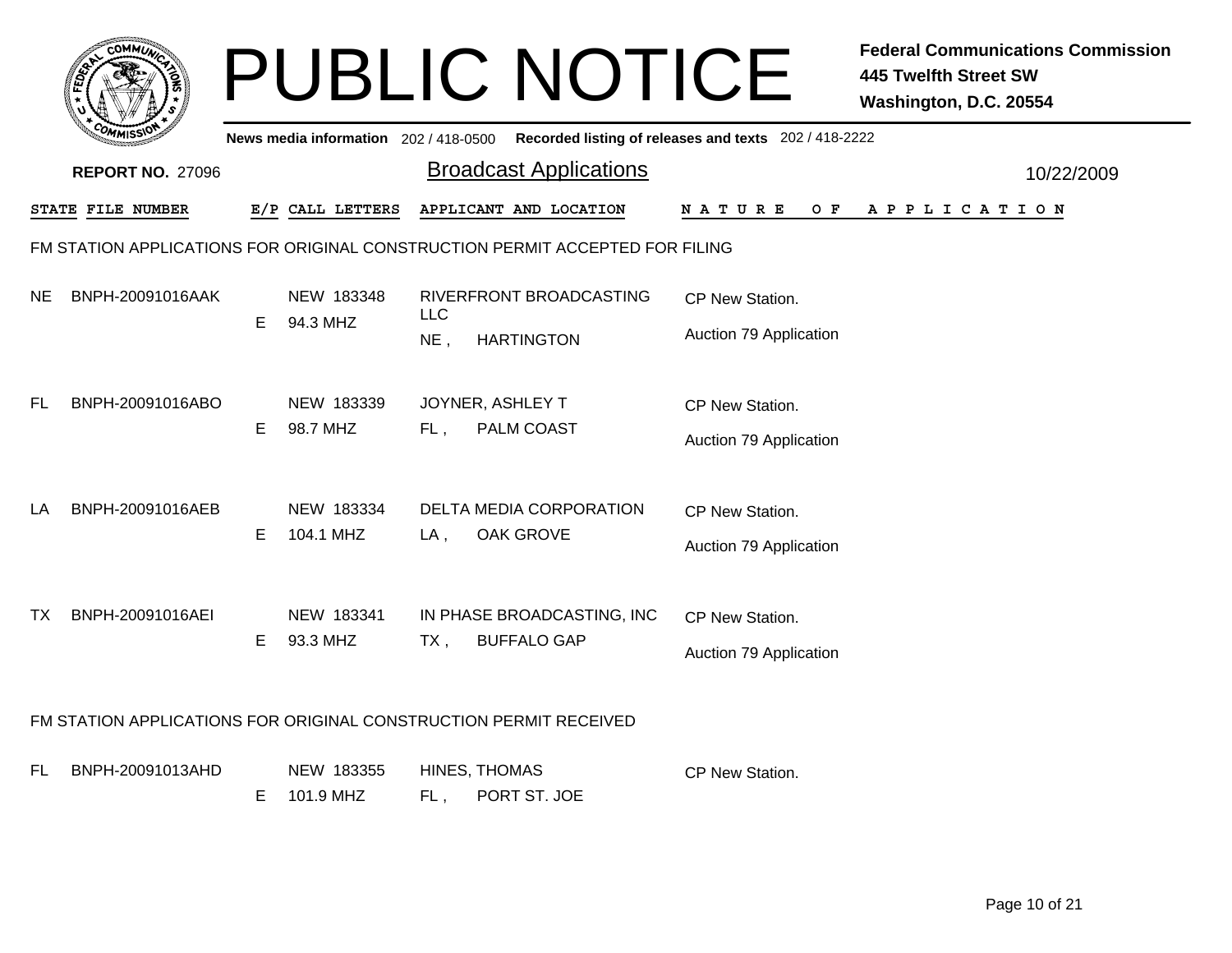|     | <b>COMMUN</b>                                                     |    |                                     |            | <b>PUBLIC NOTICE</b>                                                         |                                                       | <b>Federal Communications Commission</b><br><b>445 Twelfth Street SW</b><br>Washington, D.C. 20554 |
|-----|-------------------------------------------------------------------|----|-------------------------------------|------------|------------------------------------------------------------------------------|-------------------------------------------------------|----------------------------------------------------------------------------------------------------|
|     |                                                                   |    | News media information 202/418-0500 |            |                                                                              | Recorded listing of releases and texts 202 / 418-2222 |                                                                                                    |
|     | <b>REPORT NO. 27096</b>                                           |    |                                     |            | <b>Broadcast Applications</b>                                                |                                                       | 10/22/2009                                                                                         |
|     | <b>STATE FILE NUMBER</b>                                          |    | E/P CALL LETTERS                    |            | APPLICANT AND LOCATION                                                       | N A T U R E<br>O F                                    | A P P L I C A T I O N                                                                              |
|     |                                                                   |    |                                     |            | FM STATION APPLICATIONS FOR ORIGINAL CONSTRUCTION PERMIT ACCEPTED FOR FILING |                                                       |                                                                                                    |
| NE. | BNPH-20091016AAK                                                  | E. | NEW 183348                          | <b>LLC</b> | RIVERFRONT BROADCASTING                                                      |                                                       |                                                                                                    |
|     |                                                                   |    | 94.3 MHZ                            | NE,        | <b>HARTINGTON</b>                                                            | Auction 79 Application                                |                                                                                                    |
| FL. | BNPH-20091016ABO                                                  | E. | NEW 183339<br>98.7 MHZ              | $FL$ ,     | JOYNER, ASHLEY T<br>PALM COAST                                               | CP New Station.<br>Auction 79 Application             |                                                                                                    |
| LA  | BNPH-20091016AEB                                                  | E. | NEW 183334<br>104.1 MHZ             | $LA$ ,     | <b>DELTA MEDIA CORPORATION</b><br>OAK GROVE                                  | CP New Station.<br>Auction 79 Application             |                                                                                                    |
| TX. | BNPH-20091016AEI                                                  | E. | NEW 183341<br>93.3 MHZ              | $TX$ ,     | IN PHASE BROADCASTING, INC<br><b>BUFFALO GAP</b>                             | CP New Station.<br>Auction 79 Application             |                                                                                                    |
|     | FM STATION APPLICATIONS FOR ORIGINAL CONSTRUCTION PERMIT RECEIVED |    |                                     |            |                                                                              |                                                       |                                                                                                    |
| FL. | BNPH-20091013AHD                                                  |    | NEW 183355                          |            | HINES, THOMAS                                                                | <b>CP New Station.</b>                                |                                                                                                    |

FL , PORT ST. JOE E 101.9 MHZ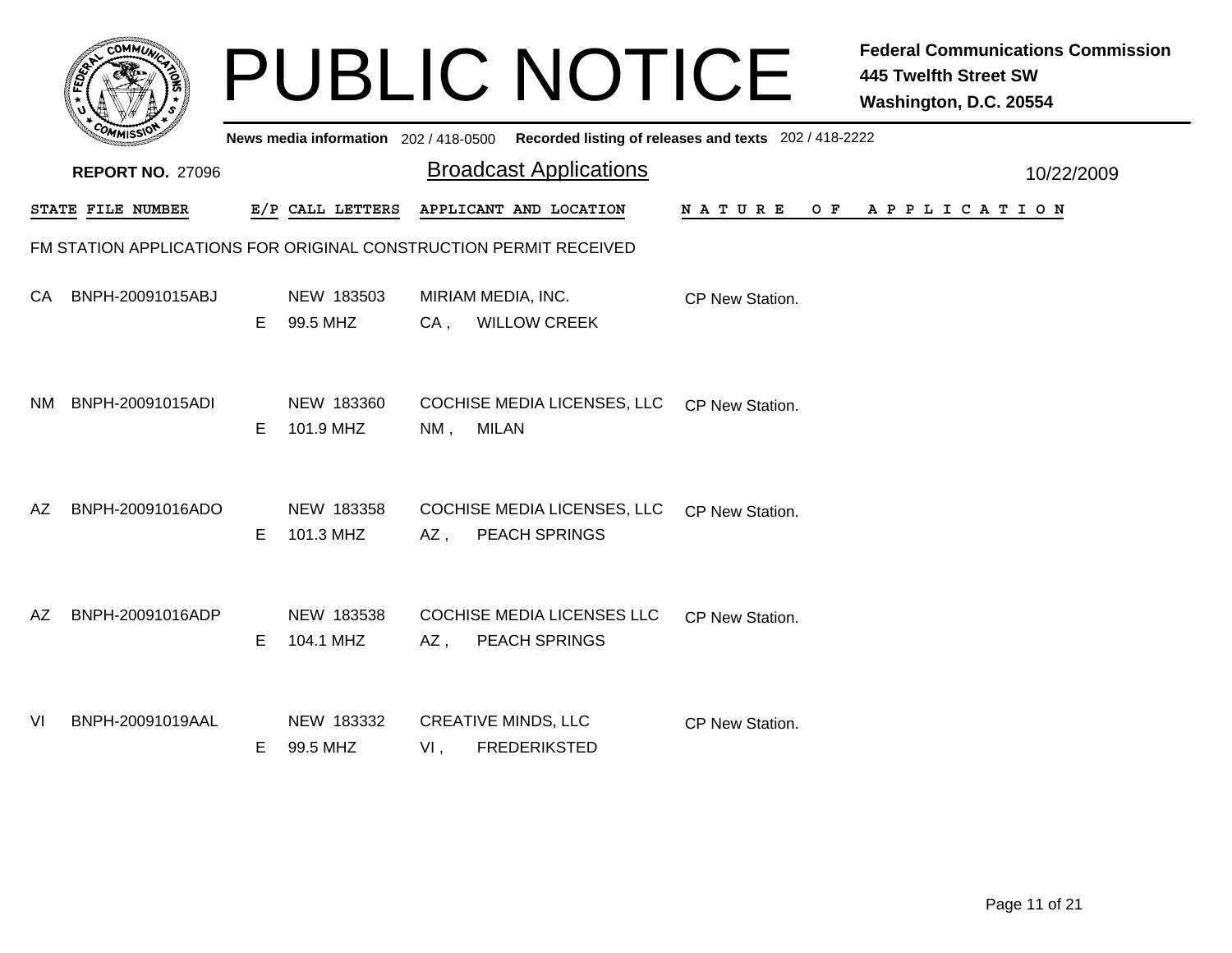|     |                         |    |                         |        | <b>PUBLIC NOTICE</b>                                                                        |                 | <b>Federal Communications Commission</b><br><b>445 Twelfth Street SW</b><br>Washington, D.C. 20554 |            |
|-----|-------------------------|----|-------------------------|--------|---------------------------------------------------------------------------------------------|-----------------|----------------------------------------------------------------------------------------------------|------------|
|     |                         |    |                         |        | News media information 202 / 418-0500 Recorded listing of releases and texts 202 / 418-2222 |                 |                                                                                                    |            |
|     | <b>REPORT NO. 27096</b> |    |                         |        | <b>Broadcast Applications</b>                                                               |                 |                                                                                                    | 10/22/2009 |
|     | STATE FILE NUMBER       |    | E/P CALL LETTERS        |        | APPLICANT AND LOCATION                                                                      | N A T U R E     | OF APPLICATION                                                                                     |            |
|     |                         |    |                         |        | FM STATION APPLICATIONS FOR ORIGINAL CONSTRUCTION PERMIT RECEIVED                           |                 |                                                                                                    |            |
| CA. | BNPH-20091015ABJ        | E. | NEW 183503<br>99.5 MHZ  | $CA$ , | MIRIAM MEDIA, INC.<br><b>WILLOW CREEK</b>                                                   | CP New Station. |                                                                                                    |            |
| NM. | BNPH-20091015ADI        | E. | NEW 183360<br>101.9 MHZ | $NM$ , | COCHISE MEDIA LICENSES, LLC CP New Station.<br><b>MILAN</b>                                 |                 |                                                                                                    |            |
| AZ  | BNPH-20091016ADO        | E  | NEW 183358<br>101.3 MHZ | $AZ$ , | COCHISE MEDIA LICENSES, LLC CP New Station.<br><b>PEACH SPRINGS</b>                         |                 |                                                                                                    |            |
| AZ. | BNPH-20091016ADP        | E  | NEW 183538<br>104.1 MHZ | AZ,    | <b>COCHISE MEDIA LICENSES LLC</b><br>PEACH SPRINGS                                          | CP New Station. |                                                                                                    |            |
| VI  | BNPH-20091019AAL        | E. | NEW 183332<br>99.5 MHZ  | VI,    | <b>CREATIVE MINDS, LLC</b><br><b>FREDERIKSTED</b>                                           | CP New Station. |                                                                                                    |            |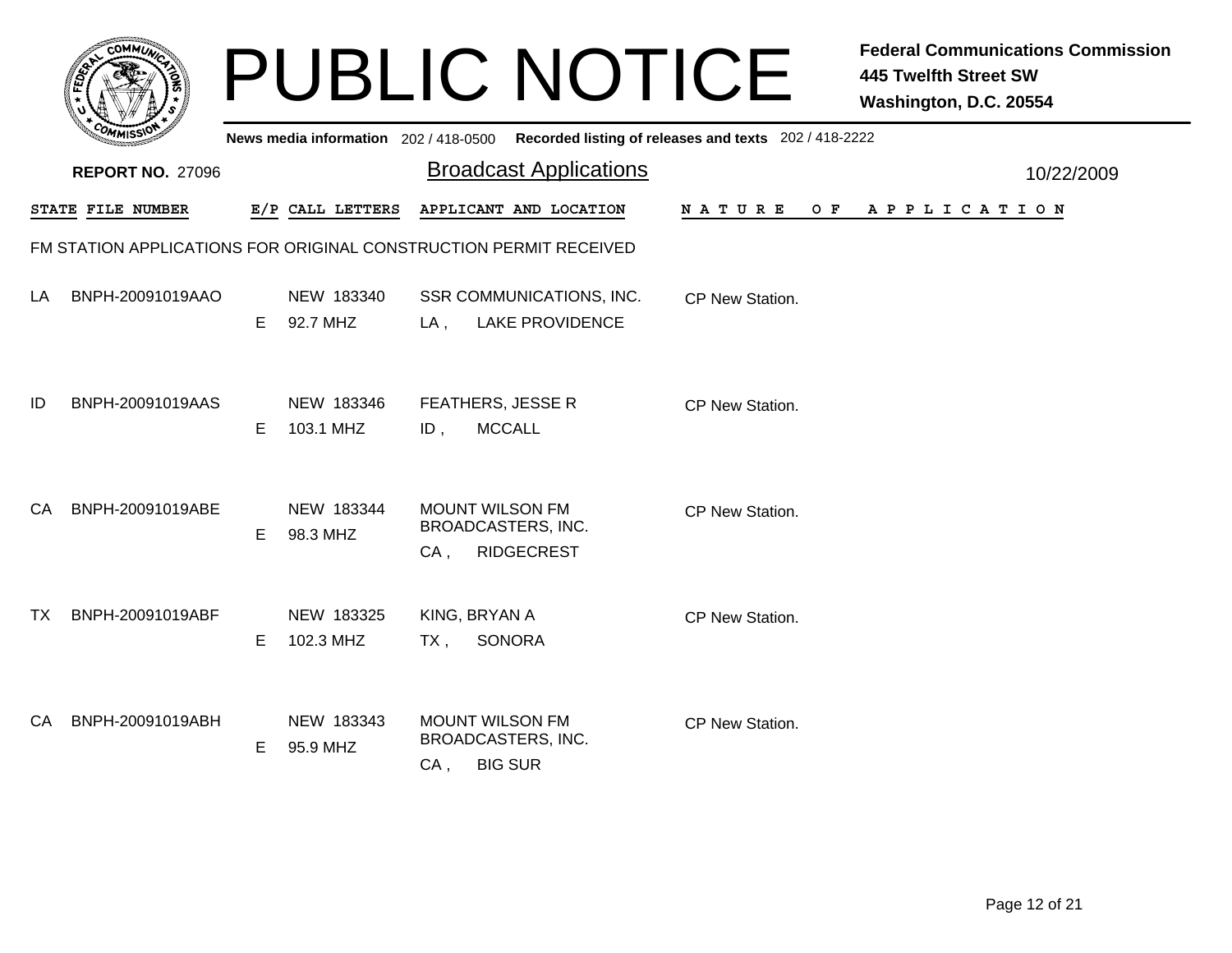|     | MMUNICT<br><b>CO</b> |  |
|-----|----------------------|--|
| ప్త |                      |  |
|     |                      |  |
|     | COMI<br>MISS<br>m    |  |

## PUBLIC NOTICE **Federal Communications Commission 445 Twelfth Street SW Washington, D.C. 20554**

|    | יככוומיי                                                          |    |                         |                                                                              | News media information 202/418-0500 Recorded listing of releases and texts 202/418-2222 |                 |                |            |
|----|-------------------------------------------------------------------|----|-------------------------|------------------------------------------------------------------------------|-----------------------------------------------------------------------------------------|-----------------|----------------|------------|
|    | <b>REPORT NO. 27096</b>                                           |    |                         |                                                                              | <b>Broadcast Applications</b>                                                           |                 |                | 10/22/2009 |
|    | STATE FILE NUMBER                                                 |    | E/P CALL LETTERS        |                                                                              | APPLICANT AND LOCATION                                                                  | <b>NATURE</b>   | OF APPLICATION |            |
|    | FM STATION APPLICATIONS FOR ORIGINAL CONSTRUCTION PERMIT RECEIVED |    |                         |                                                                              |                                                                                         |                 |                |            |
| LA | BNPH-20091019AAO                                                  | E. | NEW 183340<br>92.7 MHZ  | $LA$ ,                                                                       | SSR COMMUNICATIONS, INC.<br><b>LAKE PROVIDENCE</b>                                      | CP New Station. |                |            |
| ID | BNPH-20091019AAS                                                  | Е  | NEW 183346<br>103.1 MHZ | FEATHERS, JESSE R<br><b>MCCALL</b><br>$ID$ ,                                 |                                                                                         | CP New Station. |                |            |
| CA | BNPH-20091019ABE                                                  | E  | NEW 183344<br>98.3 MHZ  | <b>MOUNT WILSON FM</b><br>BROADCASTERS, INC.<br>$CA$ ,                       | <b>RIDGECREST</b>                                                                       | CP New Station. |                |            |
| TX | BNPH-20091019ABF                                                  | Е  | NEW 183325<br>102.3 MHZ | KING, BRYAN A<br><b>SONORA</b><br>TX,                                        |                                                                                         | CP New Station. |                |            |
| CA | BNPH-20091019ABH                                                  | Е  | NEW 183343<br>95.9 MHZ  | <b>MOUNT WILSON FM</b><br><b>BROADCASTERS, INC.</b><br><b>BIG SUR</b><br>CA, |                                                                                         | CP New Station. |                |            |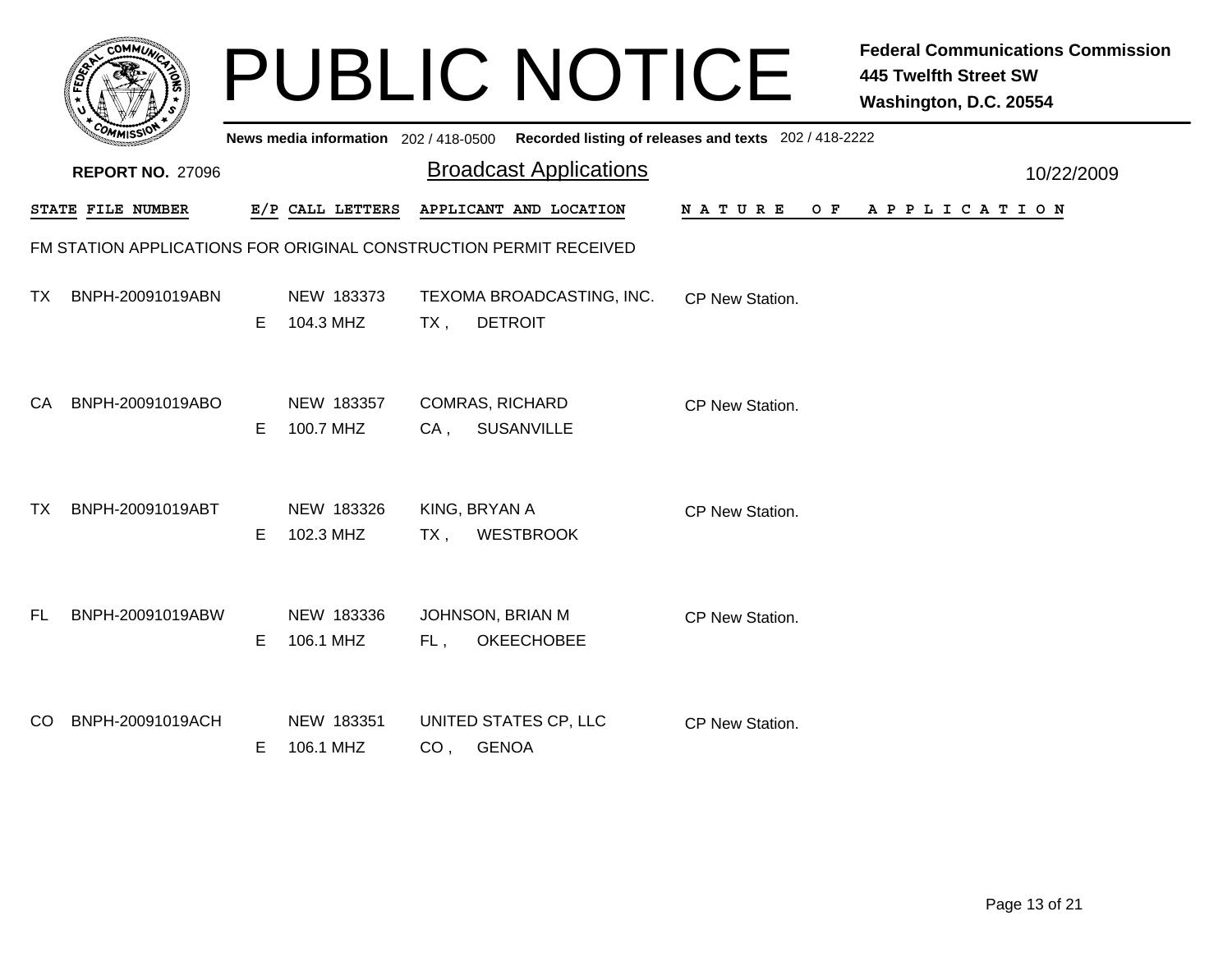|           | <b>COMMUT</b>                                                     |    |                                       |        | <b>PUBLIC NOTICE</b>                        |                                                       | <b>Federal Communications Commission</b><br><b>445 Twelfth Street SW</b><br>Washington, D.C. 20554 |            |
|-----------|-------------------------------------------------------------------|----|---------------------------------------|--------|---------------------------------------------|-------------------------------------------------------|----------------------------------------------------------------------------------------------------|------------|
|           |                                                                   |    | News media information 202 / 418-0500 |        |                                             | Recorded listing of releases and texts 202 / 418-2222 |                                                                                                    |            |
|           | <b>REPORT NO. 27096</b>                                           |    |                                       |        | <b>Broadcast Applications</b>               |                                                       |                                                                                                    | 10/22/2009 |
|           | STATE FILE NUMBER                                                 |    | E/P CALL LETTERS                      |        | APPLICANT AND LOCATION                      | N A T U R E<br>O F                                    | A P P L I C A T I O N                                                                              |            |
|           | FM STATION APPLICATIONS FOR ORIGINAL CONSTRUCTION PERMIT RECEIVED |    |                                       |        |                                             |                                                       |                                                                                                    |            |
| TX.       | BNPH-20091019ABN                                                  | E. | NEW 183373<br>104.3 MHZ               | TX,    | TEXOMA BROADCASTING, INC.<br><b>DETROIT</b> | CP New Station.                                       |                                                                                                    |            |
| CA.       | BNPH-20091019ABO                                                  | E. | NEW 183357<br>100.7 MHZ               | CA .   | <b>COMRAS, RICHARD</b><br><b>SUSANVILLE</b> | CP New Station.                                       |                                                                                                    |            |
| <b>TX</b> | BNPH-20091019ABT                                                  | E. | NEW 183326<br>102.3 MHZ               | $TX$ , | KING, BRYAN A<br><b>WESTBROOK</b>           | CP New Station.                                       |                                                                                                    |            |
| FL.       | BNPH-20091019ABW                                                  | E. | NEW 183336<br>106.1 MHZ               | FL,    | JOHNSON, BRIAN M<br><b>OKEECHOBEE</b>       | CP New Station.                                       |                                                                                                    |            |
| CO.       | BNPH-20091019ACH                                                  | E. | NEW 183351<br>106.1 MHZ               |        | UNITED STATES CP, LLC<br>CO, GENOA          | CP New Station.                                       |                                                                                                    |            |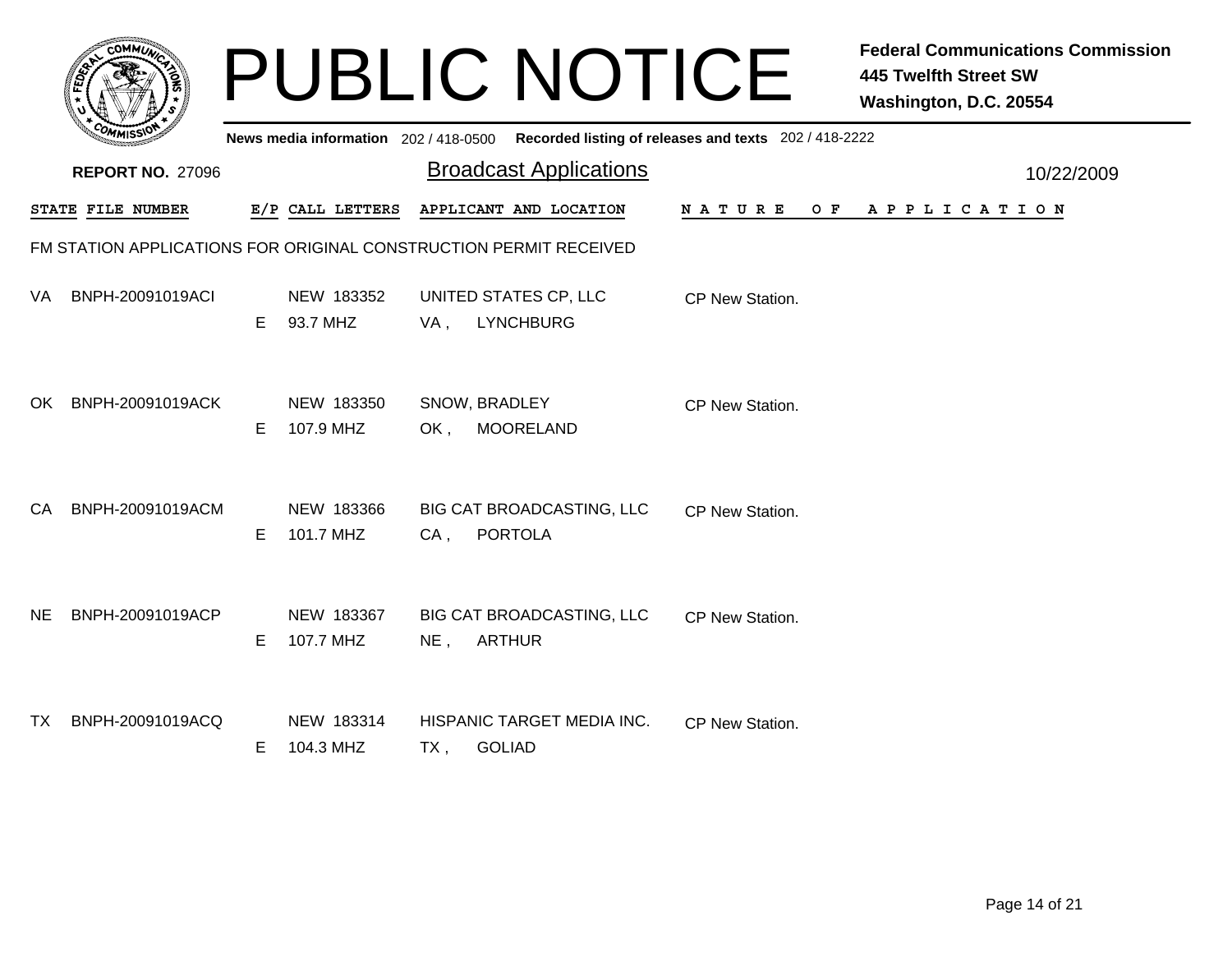|              | <b>MMUNA</b><br>r.Ol<br>¢ |  |
|--------------|---------------------------|--|
| <b>FEDET</b> | 7                         |  |
|              |                           |  |
|              | COM<br>MISS<br>----       |  |

## PUBLIC NOTICE **Federal Communications Commission 445 Twelfth Street SW Washington, D.C. 20554**

|     | ั <i>ผ</i> พเลว         |    |                         |        | News media information 202/418-0500 Recorded listing of releases and texts 202/418-2222 |                 |     |                       |            |
|-----|-------------------------|----|-------------------------|--------|-----------------------------------------------------------------------------------------|-----------------|-----|-----------------------|------------|
|     | <b>REPORT NO. 27096</b> |    |                         |        | <b>Broadcast Applications</b>                                                           |                 |     |                       | 10/22/2009 |
|     | STATE FILE NUMBER       |    | E/P CALL LETTERS        |        | APPLICANT AND LOCATION                                                                  | <b>NATURE</b>   | O F | A P P L I C A T I O N |            |
|     |                         |    |                         |        | FM STATION APPLICATIONS FOR ORIGINAL CONSTRUCTION PERMIT RECEIVED                       |                 |     |                       |            |
| VA. | BNPH-20091019ACI        | Е  | NEW 183352<br>93.7 MHZ  | VA,    | UNITED STATES CP, LLC<br><b>LYNCHBURG</b>                                               | CP New Station. |     |                       |            |
| OK. | BNPH-20091019ACK        | Е  | NEW 183350<br>107.9 MHZ | OK,    | SNOW, BRADLEY<br><b>MOORELAND</b>                                                       | CP New Station. |     |                       |            |
| CA  | BNPH-20091019ACM        | Е  | NEW 183366<br>101.7 MHZ | CA,    | BIG CAT BROADCASTING, LLC<br><b>PORTOLA</b>                                             | CP New Station. |     |                       |            |
| NE. | BNPH-20091019ACP        | E  | NEW 183367<br>107.7 MHZ | $NE$ , | BIG CAT BROADCASTING, LLC<br><b>ARTHUR</b>                                              | CP New Station. |     |                       |            |
| TX  | BNPH-20091019ACQ        | E. | NEW 183314<br>104.3 MHZ | TX,    | HISPANIC TARGET MEDIA INC.<br><b>GOLIAD</b>                                             | CP New Station. |     |                       |            |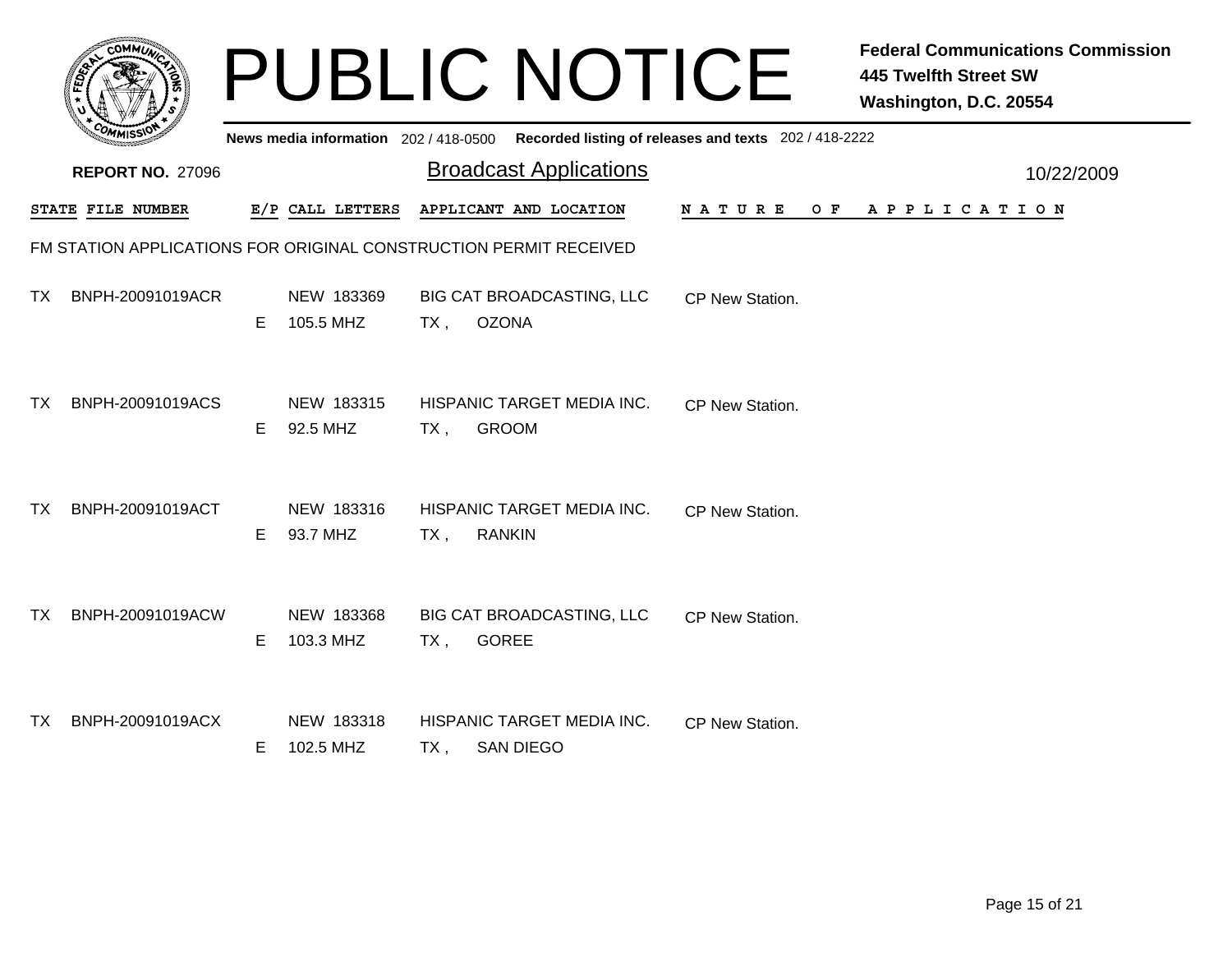|     |                                                                   |    |                                       |        | <b>PUBLIC NOTICE</b>                           |                                                       | <b>Federal Communications Commission</b><br>445 Twelfth Street SW<br>Washington, D.C. 20554 |            |
|-----|-------------------------------------------------------------------|----|---------------------------------------|--------|------------------------------------------------|-------------------------------------------------------|---------------------------------------------------------------------------------------------|------------|
|     |                                                                   |    | News media information 202 / 418-0500 |        |                                                | Recorded listing of releases and texts 202 / 418-2222 |                                                                                             |            |
|     | <b>REPORT NO. 27096</b>                                           |    |                                       |        | <b>Broadcast Applications</b>                  |                                                       |                                                                                             | 10/22/2009 |
|     | STATE FILE NUMBER                                                 |    | E/P CALL LETTERS                      |        | APPLICANT AND LOCATION                         | N A T U R E<br>O F                                    | A P P L I C A T I O N                                                                       |            |
|     | FM STATION APPLICATIONS FOR ORIGINAL CONSTRUCTION PERMIT RECEIVED |    |                                       |        |                                                |                                                       |                                                                                             |            |
| TX. | BNPH-20091019ACR                                                  | E. | NEW 183369<br>105.5 MHZ               | $TX$ , | BIG CAT BROADCASTING, LLC<br><b>OZONA</b>      | CP New Station.                                       |                                                                                             |            |
| TX. | BNPH-20091019ACS                                                  | E. | NEW 183315<br>92.5 MHZ                | TX,    | HISPANIC TARGET MEDIA INC.<br><b>GROOM</b>     | CP New Station.                                       |                                                                                             |            |
| TX. | BNPH-20091019ACT                                                  | E. | NEW 183316<br>93.7 MHZ                | $TX$ , | HISPANIC TARGET MEDIA INC.<br><b>RANKIN</b>    | CP New Station.                                       |                                                                                             |            |
| TX. | BNPH-20091019ACW                                                  | E. | NEW 183368<br>103.3 MHZ               | TX,    | BIG CAT BROADCASTING, LLC<br><b>GOREE</b>      | CP New Station.                                       |                                                                                             |            |
| TX. | BNPH-20091019ACX                                                  | E. | NEW 183318<br>102.5 MHZ               | TX,    | HISPANIC TARGET MEDIA INC.<br><b>SAN DIEGO</b> | CP New Station.                                       |                                                                                             |            |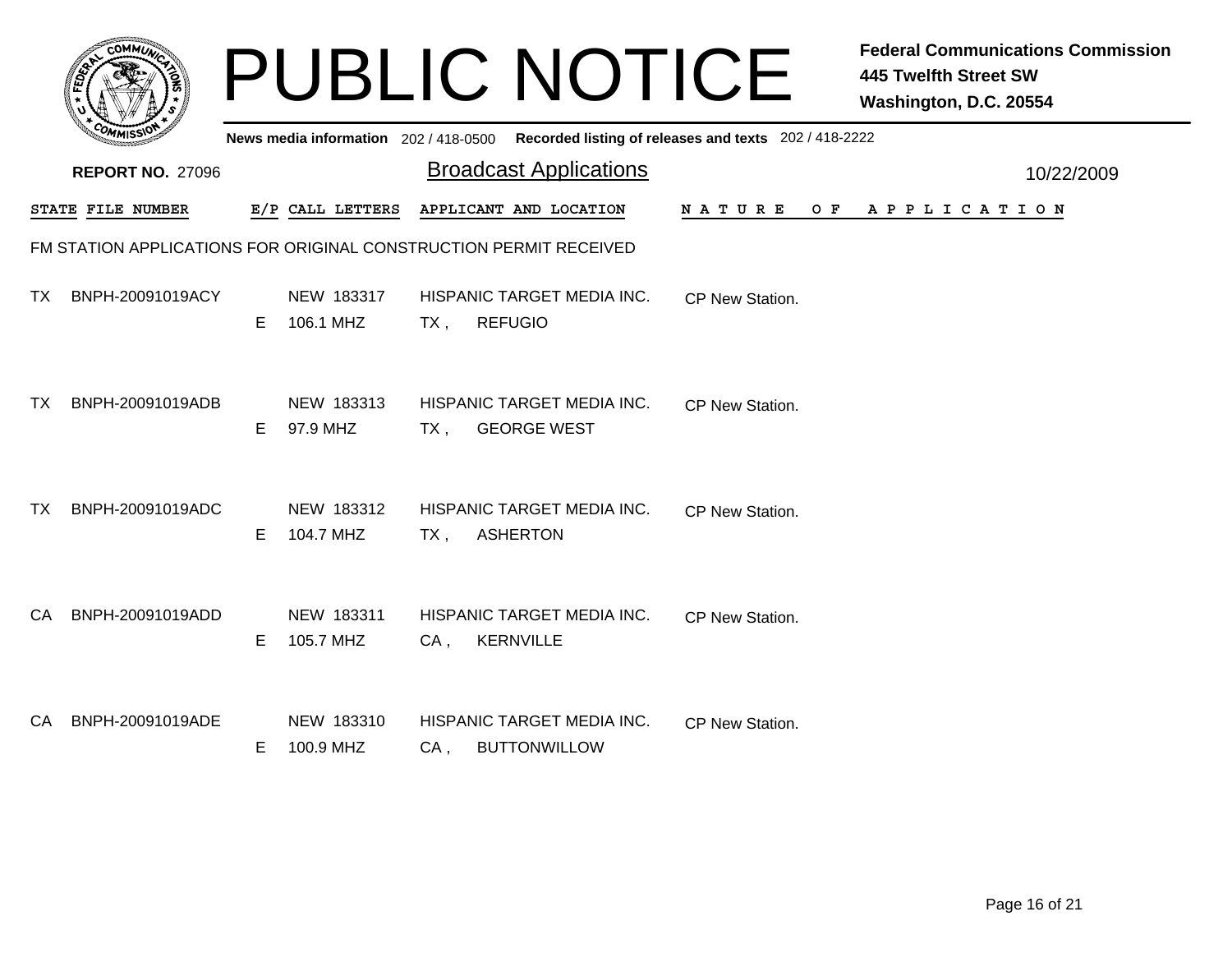|     |                         |    |                                       |        | <b>PUBLIC NOTICE</b>                                              |                                                       | <b>Federal Communications Commission</b><br><b>445 Twelfth Street SW</b><br>Washington, D.C. 20554 |            |
|-----|-------------------------|----|---------------------------------------|--------|-------------------------------------------------------------------|-------------------------------------------------------|----------------------------------------------------------------------------------------------------|------------|
|     |                         |    | News media information 202 / 418-0500 |        |                                                                   | Recorded listing of releases and texts 202 / 418-2222 |                                                                                                    |            |
|     | <b>REPORT NO. 27096</b> |    |                                       |        | <b>Broadcast Applications</b>                                     |                                                       |                                                                                                    | 10/22/2009 |
|     | STATE FILE NUMBER       |    | E/P CALL LETTERS                      |        | APPLICANT AND LOCATION                                            | N A T U R E<br>OF F                                   | A P P L I C A T I O N                                                                              |            |
|     |                         |    |                                       |        | FM STATION APPLICATIONS FOR ORIGINAL CONSTRUCTION PERMIT RECEIVED |                                                       |                                                                                                    |            |
| TX. | BNPH-20091019ACY        | E. | NEW 183317<br>106.1 MHZ               | $TX$ , | HISPANIC TARGET MEDIA INC.<br><b>REFUGIO</b>                      | CP New Station.                                       |                                                                                                    |            |
| TX. | BNPH-20091019ADB        | E. | NEW 183313<br>97.9 MHZ                | TX ,   | HISPANIC TARGET MEDIA INC.<br><b>GEORGE WEST</b>                  | CP New Station.                                       |                                                                                                    |            |
| TX. | BNPH-20091019ADC        | E. | NEW 183312<br>104.7 MHZ               | $TX$ , | HISPANIC TARGET MEDIA INC.<br><b>ASHERTON</b>                     | CP New Station.                                       |                                                                                                    |            |
| CA. | BNPH-20091019ADD        | E. | NEW 183311<br>105.7 MHZ               | $CA$ , | HISPANIC TARGET MEDIA INC.<br><b>KERNVILLE</b>                    | CP New Station.                                       |                                                                                                    |            |
| CA. | BNPH-20091019ADE        | E. | NEW 183310<br>100.9 MHZ               | $CA$ , | HISPANIC TARGET MEDIA INC.<br><b>BUTTONWILLOW</b>                 | CP New Station.                                       |                                                                                                    |            |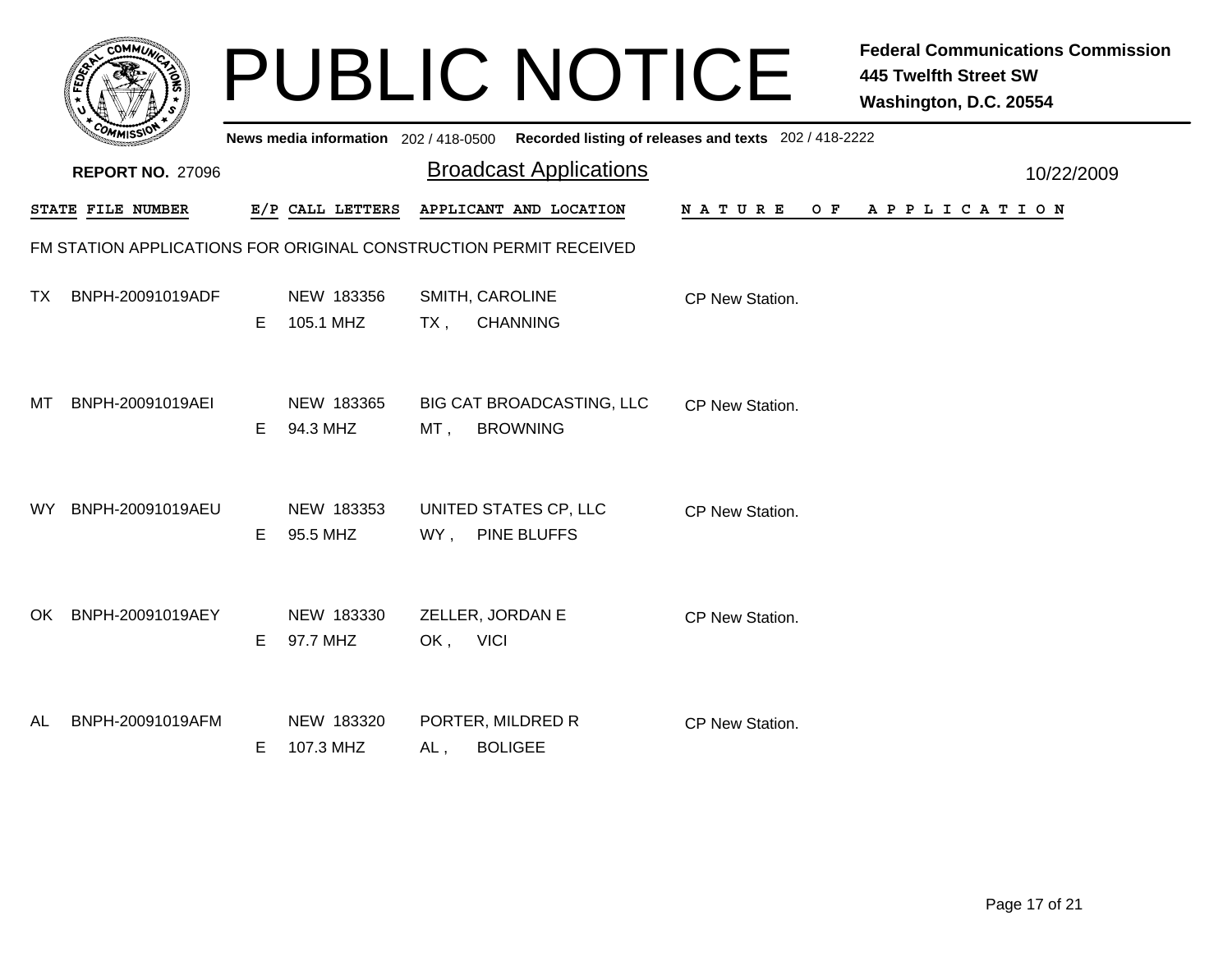|     |                                                                   |    |                                       |          | <b>PUBLIC NOTICE</b>                         |                                                       | <b>Federal Communications Commission</b><br><b>445 Twelfth Street SW</b><br>Washington, D.C. 20554 |            |
|-----|-------------------------------------------------------------------|----|---------------------------------------|----------|----------------------------------------------|-------------------------------------------------------|----------------------------------------------------------------------------------------------------|------------|
|     |                                                                   |    | News media information 202 / 418-0500 |          |                                              | Recorded listing of releases and texts 202 / 418-2222 |                                                                                                    |            |
|     | <b>REPORT NO. 27096</b>                                           |    |                                       |          | <b>Broadcast Applications</b>                |                                                       |                                                                                                    | 10/22/2009 |
|     | STATE FILE NUMBER                                                 |    | E/P CALL LETTERS                      |          | APPLICANT AND LOCATION                       | N A T U R E<br>O F                                    | A P P L I C A T I O N                                                                              |            |
|     | FM STATION APPLICATIONS FOR ORIGINAL CONSTRUCTION PERMIT RECEIVED |    |                                       |          |                                              |                                                       |                                                                                                    |            |
| TX. | BNPH-20091019ADF                                                  | E. | NEW 183356<br>105.1 MHZ               | $TX$ ,   | SMITH, CAROLINE<br><b>CHANNING</b>           | CP New Station.                                       |                                                                                                    |            |
| MТ  | BNPH-20091019AEI                                                  | E. | NEW 183365<br>94.3 MHZ                | MT,      | BIG CAT BROADCASTING, LLC<br><b>BROWNING</b> | CP New Station.                                       |                                                                                                    |            |
| WY. | BNPH-20091019AEU                                                  | E. | NEW 183353<br>95.5 MHZ                | WY,      | UNITED STATES CP, LLC<br><b>PINE BLUFFS</b>  | CP New Station.                                       |                                                                                                    |            |
|     | OK BNPH-20091019AEY                                               | E. | NEW 183330<br>97.7 MHZ                | OK, VICI | ZELLER, JORDAN E                             | CP New Station.                                       |                                                                                                    |            |
| AL  | BNPH-20091019AFM                                                  | E. | NEW 183320<br>107.3 MHZ               | AL,      | PORTER, MILDRED R<br><b>BOLIGEE</b>          | CP New Station.                                       |                                                                                                    |            |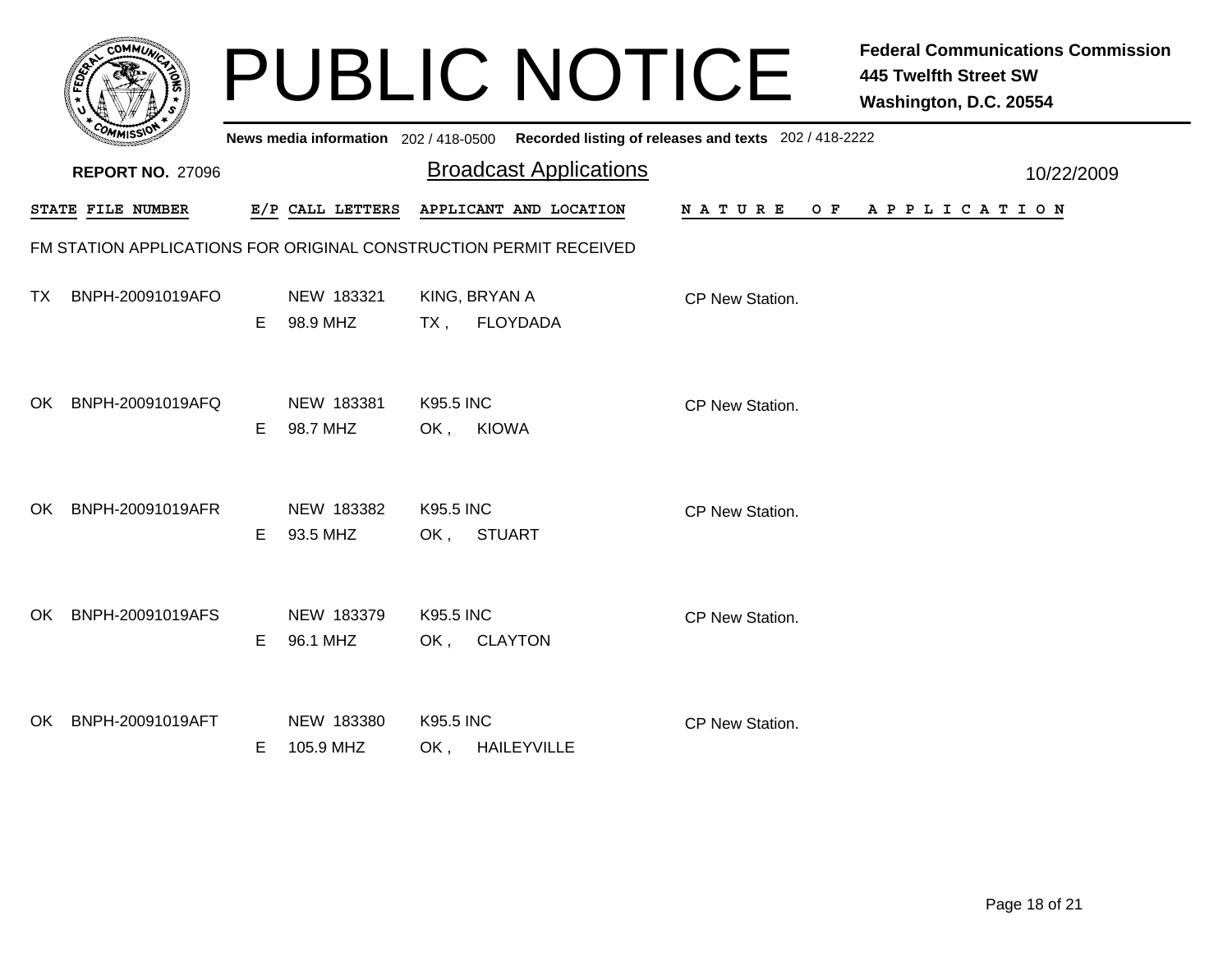|      |                         |    |                                       |                         | <b>PUBLIC NOTICE</b>                                              |                    | <b>Federal Communications Commission</b><br><b>445 Twelfth Street SW</b><br>Washington, D.C. 20554 |            |
|------|-------------------------|----|---------------------------------------|-------------------------|-------------------------------------------------------------------|--------------------|----------------------------------------------------------------------------------------------------|------------|
|      |                         |    | News media information 202 / 418-0500 |                         | Recorded listing of releases and texts 202 / 418-2222             |                    |                                                                                                    |            |
|      | <b>REPORT NO. 27096</b> |    |                                       |                         | <b>Broadcast Applications</b>                                     |                    |                                                                                                    | 10/22/2009 |
|      | STATE FILE NUMBER       |    | E/P CALL LETTERS                      |                         | APPLICANT AND LOCATION                                            | N A T U R E<br>O F | A P P L I C A T I O N                                                                              |            |
|      |                         |    |                                       |                         | FM STATION APPLICATIONS FOR ORIGINAL CONSTRUCTION PERMIT RECEIVED |                    |                                                                                                    |            |
| TX.  | BNPH-20091019AFO        | E. | NEW 183321<br>98.9 MHZ                | TX,                     | KING, BRYAN A<br><b>FLOYDADA</b>                                  | CP New Station.    |                                                                                                    |            |
| OK.  | BNPH-20091019AFQ        | E. | NEW 183381<br>98.7 MHZ                | <b>K95.5 INC</b><br>OK, | <b>KIOWA</b>                                                      | CP New Station.    |                                                                                                    |            |
| OK.  | BNPH-20091019AFR        | E. | NEW 183382<br>93.5 MHZ                | <b>K95.5 INC</b><br>OK, | <b>STUART</b>                                                     | CP New Station.    |                                                                                                    |            |
| OK - | BNPH-20091019AFS        | E. | NEW 183379<br>96.1 MHZ                | <b>K95.5 INC</b><br>OK, | <b>CLAYTON</b>                                                    | CP New Station.    |                                                                                                    |            |
| OK.  | BNPH-20091019AFT        | E. | NEW 183380<br>105.9 MHZ               | <b>K95.5 INC</b><br>OK, | <b>HAILEYVILLE</b>                                                | CP New Station.    |                                                                                                    |            |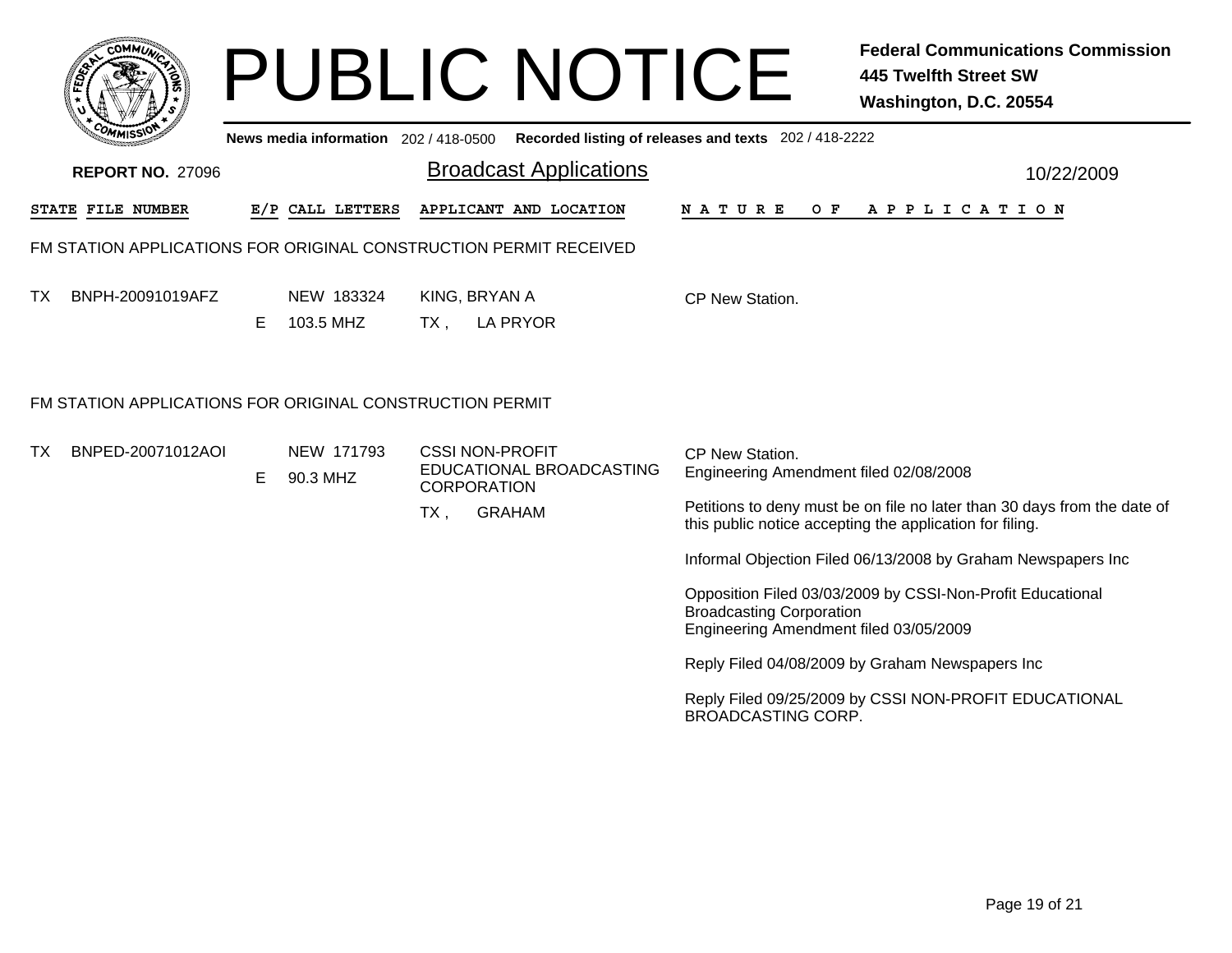| <b>PUBLIC NOTICE</b><br>Recorded listing of releases and texts 202 / 418-2222<br>News media information 202 / 418-0500                                  | <b>Federal Communications Commission</b><br><b>445 Twelfth Street SW</b><br>Washington, D.C. 20554                                   |
|---------------------------------------------------------------------------------------------------------------------------------------------------------|--------------------------------------------------------------------------------------------------------------------------------------|
| <b>Broadcast Applications</b><br><b>REPORT NO. 27096</b>                                                                                                | 10/22/2009                                                                                                                           |
| APPLICANT AND LOCATION<br>STATE FILE NUMBER<br>E/P CALL LETTERS<br>N A T U R E                                                                          | O F<br>A P P L I C A T I O N                                                                                                         |
| FM STATION APPLICATIONS FOR ORIGINAL CONSTRUCTION PERMIT RECEIVED                                                                                       |                                                                                                                                      |
| KING, BRYAN A<br>BNPH-20091019AFZ<br>NEW 183324<br>TX.<br>CP New Station.<br>103.5 MHZ<br>E.<br>$TX$ ,<br>LA PRYOR                                      |                                                                                                                                      |
| FM STATION APPLICATIONS FOR ORIGINAL CONSTRUCTION PERMIT                                                                                                |                                                                                                                                      |
| BNPED-20071012AOI<br>NEW 171793<br><b>CSSI NON-PROFIT</b><br>TX.<br>CP New Station.<br>EDUCATIONAL BROADCASTING<br>E.<br>90.3 MHZ<br><b>CORPORATION</b> | Engineering Amendment filed 02/08/2008                                                                                               |
| <b>GRAHAM</b><br>$TX$ ,                                                                                                                                 | Petitions to deny must be on file no later than 30 days from the date of<br>this public notice accepting the application for filing. |
|                                                                                                                                                         | Informal Objection Filed 06/13/2008 by Graham Newspapers Inc                                                                         |
| <b>Broadcasting Corporation</b>                                                                                                                         | Opposition Filed 03/03/2009 by CSSI-Non-Profit Educational<br>Engineering Amendment filed 03/05/2009                                 |
|                                                                                                                                                         | Reply Filed 04/08/2009 by Graham Newspapers Inc                                                                                      |
| <b>BROADCASTING CORP.</b>                                                                                                                               | Reply Filed 09/25/2009 by CSSI NON-PROFIT EDUCATIONAL                                                                                |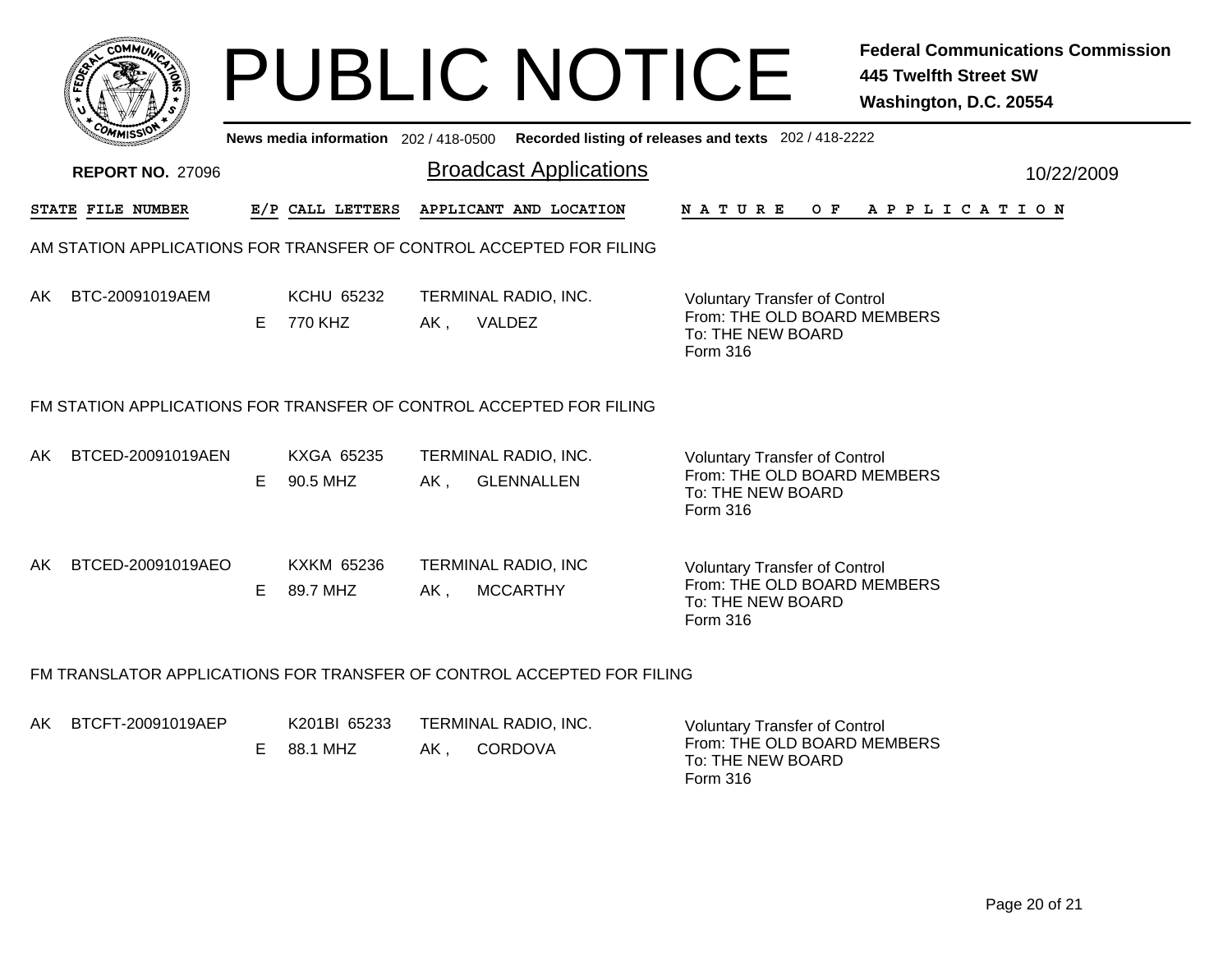|        | <b>AMUNA</b><br>CQ<br>e |   |
|--------|-------------------------|---|
| Ë<br>w |                         | c |
|        |                         |   |
| COM    | MISS                    |   |

## PUBLIC NOTICE **Federal Communications Commission 445 Twelfth Street SW Washington, D.C. 20554**

|                                                                        | יככוואויי<br>News media information 202/418-0500 Recorded listing of releases and texts 202/418-2222 |    |                               |        |                                               |  |                                                                                                      |  |  |  |  |  |     |  |  |                       |  |  |            |
|------------------------------------------------------------------------|------------------------------------------------------------------------------------------------------|----|-------------------------------|--------|-----------------------------------------------|--|------------------------------------------------------------------------------------------------------|--|--|--|--|--|-----|--|--|-----------------------|--|--|------------|
|                                                                        | <b>REPORT NO. 27096</b>                                                                              |    |                               |        | <b>Broadcast Applications</b>                 |  |                                                                                                      |  |  |  |  |  |     |  |  |                       |  |  | 10/22/2009 |
|                                                                        | STATE FILE NUMBER                                                                                    |    | E/P CALL LETTERS              |        | APPLICANT AND LOCATION                        |  | <b>NATURE</b>                                                                                        |  |  |  |  |  | O F |  |  | A P P L I C A T I O N |  |  |            |
| AM STATION APPLICATIONS FOR TRANSFER OF CONTROL ACCEPTED FOR FILING    |                                                                                                      |    |                               |        |                                               |  |                                                                                                      |  |  |  |  |  |     |  |  |                       |  |  |            |
| AK                                                                     | BTC-20091019AEM                                                                                      | E  | <b>KCHU 65232</b><br>770 KHZ  | AK,    | TERMINAL RADIO, INC.<br>VALDEZ                |  | <b>Voluntary Transfer of Control</b><br>From: THE OLD BOARD MEMBERS<br>To: THE NEW BOARD<br>Form 316 |  |  |  |  |  |     |  |  |                       |  |  |            |
| FM STATION APPLICATIONS FOR TRANSFER OF CONTROL ACCEPTED FOR FILING    |                                                                                                      |    |                               |        |                                               |  |                                                                                                      |  |  |  |  |  |     |  |  |                       |  |  |            |
| AK.                                                                    | BTCED-20091019AEN                                                                                    | E. | KXGA 65235<br>90.5 MHZ        | $AK$ , | TERMINAL RADIO, INC.<br><b>GLENNALLEN</b>     |  | <b>Voluntary Transfer of Control</b><br>From: THE OLD BOARD MEMBERS<br>To: THE NEW BOARD<br>Form 316 |  |  |  |  |  |     |  |  |                       |  |  |            |
| AK                                                                     | BTCED-20091019AEO                                                                                    | Е  | <b>KXKM 65236</b><br>89.7 MHZ | AK,    | <b>TERMINAL RADIO, INC</b><br><b>MCCARTHY</b> |  | <b>Voluntary Transfer of Control</b><br>From: THE OLD BOARD MEMBERS<br>To: THE NEW BOARD<br>Form 316 |  |  |  |  |  |     |  |  |                       |  |  |            |
| FM TRANSLATOR APPLICATIONS FOR TRANSFER OF CONTROL ACCEPTED FOR FILING |                                                                                                      |    |                               |        |                                               |  |                                                                                                      |  |  |  |  |  |     |  |  |                       |  |  |            |

| AK BTCFT-20091019AEP | K201BI 65233           |     | TERMINAL RADIO, INC. | Voluntary Transfer of Control                                |
|----------------------|------------------------|-----|----------------------|--------------------------------------------------------------|
|                      | $E = 88.1 \text{ MHz}$ | AK. | CORDOVA              | From: THE OLD BOARD MEMBERS<br>To: THE NEW BOARD<br>Form 316 |